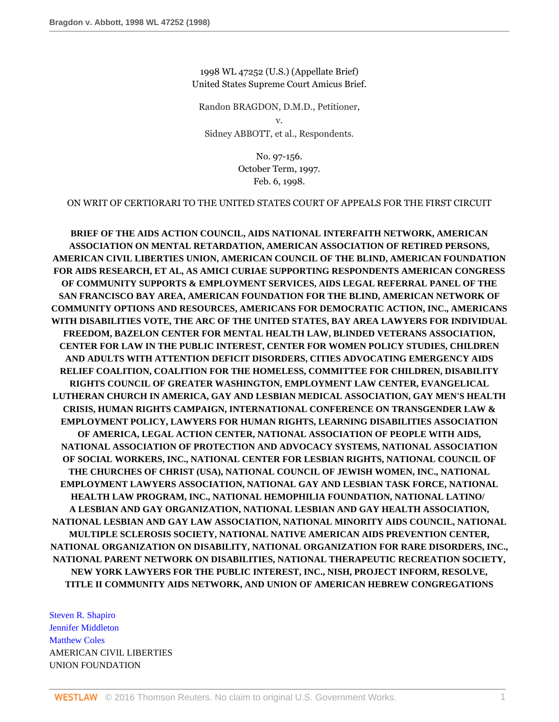1998 WL 47252 (U.S.) (Appellate Brief) United States Supreme Court Amicus Brief.

Randon BRAGDON, D.M.D., Petitioner, v. Sidney ABBOTT, et al., Respondents.

> No. 97-156. October Term, 1997. Feb. 6, 1998.

ON WRIT OF CERTIORARI TO THE UNITED STATES COURT OF APPEALS FOR THE FIRST CIRCUIT

**BRIEF OF THE AIDS ACTION COUNCIL, AIDS NATIONAL INTERFAITH NETWORK, AMERICAN ASSOCIATION ON MENTAL RETARDATION, AMERICAN ASSOCIATION OF RETIRED PERSONS, AMERICAN CIVIL LIBERTIES UNION, AMERICAN COUNCIL OF THE BLIND, AMERICAN FOUNDATION FOR AIDS RESEARCH, ET AL, AS AMICI CURIAE SUPPORTING RESPONDENTS AMERICAN CONGRESS OF COMMUNITY SUPPORTS & EMPLOYMENT SERVICES, AIDS LEGAL REFERRAL PANEL OF THE SAN FRANCISCO BAY AREA, AMERICAN FOUNDATION FOR THE BLIND, AMERICAN NETWORK OF COMMUNITY OPTIONS AND RESOURCES, AMERICANS FOR DEMOCRATIC ACTION, INC., AMERICANS WITH DISABILITIES VOTE, THE ARC OF THE UNITED STATES, BAY AREA LAWYERS FOR INDIVIDUAL FREEDOM, BAZELON CENTER FOR MENTAL HEALTH LAW, BLINDED VETERANS ASSOCIATION, CENTER FOR LAW IN THE PUBLIC INTEREST, CENTER FOR WOMEN POLICY STUDIES, CHILDREN AND ADULTS WITH ATTENTION DEFICIT DISORDERS, CITIES ADVOCATING EMERGENCY AIDS RELIEF COALITION, COALITION FOR THE HOMELESS, COMMITTEE FOR CHILDREN, DISABILITY RIGHTS COUNCIL OF GREATER WASHINGTON, EMPLOYMENT LAW CENTER, EVANGELICAL LUTHERAN CHURCH IN AMERICA, GAY AND LESBIAN MEDICAL ASSOCIATION, GAY MEN'S HEALTH CRISIS, HUMAN RIGHTS CAMPAIGN, INTERNATIONAL CONFERENCE ON TRANSGENDER LAW & EMPLOYMENT POLICY, LAWYERS FOR HUMAN RIGHTS, LEARNING DISABILITIES ASSOCIATION OF AMERICA, LEGAL ACTION CENTER, NATIONAL ASSOCIATION OF PEOPLE WITH AIDS, NATIONAL ASSOCIATION OF PROTECTION AND ADVOCACY SYSTEMS, NATIONAL ASSOCIATION OF SOCIAL WORKERS, INC., NATIONAL CENTER FOR LESBIAN RIGHTS, NATIONAL COUNCIL OF THE CHURCHES OF CHRIST (USA), NATIONAL COUNCIL OF JEWISH WOMEN, INC., NATIONAL EMPLOYMENT LAWYERS ASSOCIATION, NATIONAL GAY AND LESBIAN TASK FORCE, NATIONAL HEALTH LAW PROGRAM, INC., NATIONAL HEMOPHILIA FOUNDATION, NATIONAL LATINO/ A LESBIAN AND GAY ORGANIZATION, NATIONAL LESBIAN AND GAY HEALTH ASSOCIATION, NATIONAL LESBIAN AND GAY LAW ASSOCIATION, NATIONAL MINORITY AIDS COUNCIL, NATIONAL MULTIPLE SCLEROSIS SOCIETY, NATIONAL NATIVE AMERICAN AIDS PREVENTION CENTER, NATIONAL ORGANIZATION ON DISABILITY, NATIONAL ORGANIZATION FOR RARE DISORDERS, INC., NATIONAL PARENT NETWORK ON DISABILITIES, NATIONAL THERAPEUTIC RECREATION SOCIETY, NEW YORK LAWYERS FOR THE PUBLIC INTEREST, INC., NISH, PROJECT INFORM, RESOLVE, TITLE II COMMUNITY AIDS NETWORK, AND UNION OF AMERICAN HEBREW CONGREGATIONS**

[Steven R. Shapiro](http://www.westlaw.com/Link/Document/FullText?findType=h&pubNum=176284&cite=0151200201&originatingDoc=Ie682b9d3482f11d9a5bfc0e3c4d1ea15&refType=RQ&originationContext=document&vr=3.0&rs=cblt1.0&transitionType=DocumentItem&contextData=(sc.RelatedInfo)) [Jennifer Middleton](http://www.westlaw.com/Link/Document/FullText?findType=h&pubNum=176284&cite=0344144201&originatingDoc=Ie682b9d3482f11d9a5bfc0e3c4d1ea15&refType=RQ&originationContext=document&vr=3.0&rs=cblt1.0&transitionType=DocumentItem&contextData=(sc.RelatedInfo)) [Matthew Coles](http://www.westlaw.com/Link/Document/FullText?findType=h&pubNum=176284&cite=0120863501&originatingDoc=Ie682b9d3482f11d9a5bfc0e3c4d1ea15&refType=RQ&originationContext=document&vr=3.0&rs=cblt1.0&transitionType=DocumentItem&contextData=(sc.RelatedInfo)) AMERICAN CIVIL LIBERTIES UNION FOUNDATION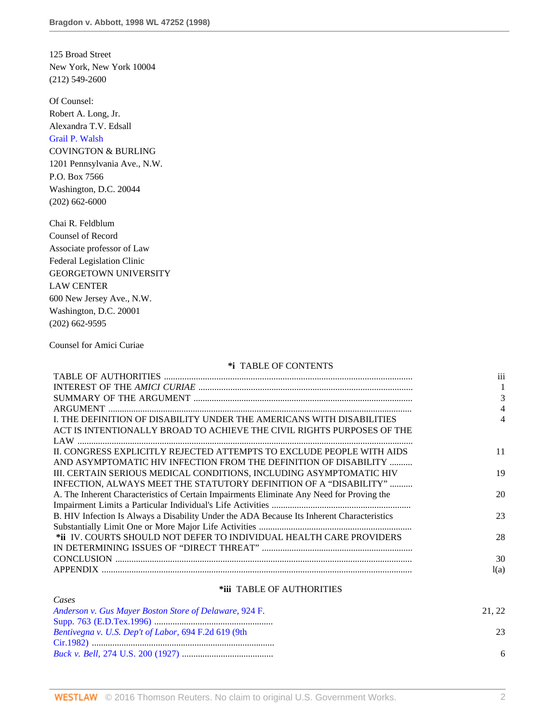125 Broad Street New York, New York 10004 (212) 549-2600

Of Counsel: Robert A. Long, Jr. Alexandra T.V. Edsall [Grail P. Walsh](http://www.westlaw.com/Link/Document/FullText?findType=h&pubNum=176284&cite=0152884501&originatingDoc=Ie682b9d3482f11d9a5bfc0e3c4d1ea15&refType=RQ&originationContext=document&vr=3.0&rs=cblt1.0&transitionType=DocumentItem&contextData=(sc.RelatedInfo)) COVINGTON & BURLING 1201 Pennsylvania Ave., N.W. P.O. Box 7566 Washington, D.C. 20044 (202) 662-6000

Chai R. Feldblum Counsel of Record Associate professor of Law Federal Legislation Clinic GEORGETOWN UNIVERSITY LAW CENTER 600 New Jersey Ave., N.W. Washington, D.C. 20001 (202) 662-9595

Counsel for Amici Curiae

### **\*i** TABLE OF CONTENTS

|                                                                                            | iii  |
|--------------------------------------------------------------------------------------------|------|
|                                                                                            |      |
|                                                                                            | 3    |
|                                                                                            | 4    |
| I. THE DEFINITION OF DISABILITY UNDER THE AMERICANS WITH DISABILITIES                      |      |
| ACT IS INTENTIONALLY BROAD TO ACHIEVE THE CIVIL RIGHTS PURPOSES OF THE                     |      |
|                                                                                            |      |
| IL CONGRESS EXPLICITLY REJECTED ATTEMPTS TO EXCLUDE PEOPLE WITH AIDS                       | 11   |
| AND ASYMPTOMATIC HIV INFECTION FROM THE DEFINITION OF DISABILITY                           |      |
| III. CERTAIN SERIOUS MEDICAL CONDITIONS, INCLUDING ASYMPTOMATIC HIV                        | 19   |
| INFECTION, ALWAYS MEET THE STATUTORY DEFINITION OF A "DISABILITY"                          |      |
| A. The Inherent Characteristics of Certain Impairments Eliminate Any Need for Proving the  | 20   |
|                                                                                            |      |
| B. HIV Infection Is Always a Disability Under the ADA Because Its Inherent Characteristics | 23   |
|                                                                                            |      |
| *ii IV. COURTS SHOULD NOT DEFER TO INDIVIDUAL HEALTH CARE PROVIDERS                        | 28   |
|                                                                                            |      |
|                                                                                            | 30   |
|                                                                                            | l(a) |
|                                                                                            |      |

### **\*iii** TABLE OF AUTHORITIES

| Cases                                                  |       |
|--------------------------------------------------------|-------|
| Anderson v. Gus Mayer Boston Store of Delaware, 924 F. | 21.22 |
|                                                        |       |
| Bentivegna v. U.S. Dep't of Labor, 694 F.2d 619 (9th   | 23    |
|                                                        |       |
|                                                        | 6     |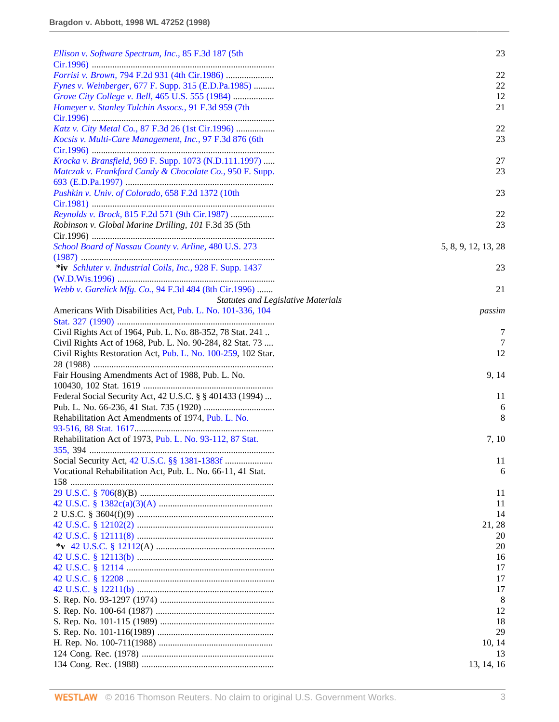| Ellison v. Software Spectrum, Inc., 85 F.3d 187 (5th         | 23                                        |
|--------------------------------------------------------------|-------------------------------------------|
|                                                              | 22                                        |
| Fynes v. Weinberger, 677 F. Supp. 315 (E.D.Pa.1985)          | 22                                        |
| Grove City College v. Bell, 465 U.S. 555 (1984)              | 12                                        |
| Homeyer v. Stanley Tulchin Assocs., 91 F.3d 959 (7th         | 21                                        |
| Katz v. City Metal Co., 87 F.3d 26 (1st Cir.1996)            | 22                                        |
| Kocsis v. Multi-Care Management, Inc., 97 F.3d 876 (6th      | 23                                        |
| Krocka v. Bransfield, 969 F. Supp. 1073 (N.D.111.1997)       | 27                                        |
| Matczak v. Frankford Candy & Chocolate Co., 950 F. Supp.     | 23                                        |
| Pushkin v. Univ. of Colorado, 658 F.2d 1372 (10th            | 23                                        |
| Reynolds v. Brock, 815 F.2d 571 (9th Cir.1987)               | 22                                        |
| Robinson v. Global Marine Drilling, 101 F.3d 35 (5th         | 23                                        |
|                                                              |                                           |
| School Board of Nassau County v. Arline, 480 U.S. 273        | 5, 8, 9, 12, 13, 28                       |
| *iv Schluter v. Industrial Coils, Inc., 928 F. Supp. 1437    | 23                                        |
|                                                              |                                           |
| Webb v. Garelick Mfg. Co., 94 F.3d 484 (8th Cir.1996)        | 21                                        |
|                                                              | <b>Statutes and Legislative Materials</b> |
| Americans With Disabilities Act, Pub. L. No. 101-336, 104    | passim                                    |
| Civil Rights Act of 1964, Pub. L. No. 88-352, 78 Stat. 241   | 7                                         |
| Civil Rights Act of 1968, Pub. L. No. 90-284, 82 Stat. 73    | 7                                         |
| Civil Rights Restoration Act, Pub. L. No. 100-259, 102 Star. | 12                                        |
|                                                              |                                           |
| Fair Housing Amendments Act of 1988, Pub. L. No.             | 9, 14                                     |
| Federal Social Security Act, 42 U.S.C. § § 401433 (1994)     | 11                                        |
|                                                              | 6                                         |
| Rehabilitation Act Amendments of 1974, Pub. L. No.           | 8                                         |
|                                                              |                                           |
| Rehabilitation Act of 1973, Pub. L. No. 93-112, 87 Stat.     | 7, 10                                     |
|                                                              |                                           |
|                                                              | 11                                        |
| Vocational Rehabilitation Act, Pub. L. No. 66-11, 41 Stat.   | 6                                         |
|                                                              | 11                                        |
|                                                              | 11                                        |
|                                                              | 14                                        |
|                                                              | 21, 28                                    |
|                                                              | 20                                        |
|                                                              | 20                                        |
|                                                              | 16                                        |
|                                                              | 17                                        |
|                                                              | 17                                        |
|                                                              | 17<br>8                                   |
|                                                              | 12                                        |
|                                                              | 18                                        |
|                                                              | 29                                        |
|                                                              | 10, 14                                    |
|                                                              | 13                                        |
|                                                              | 13, 14, 16                                |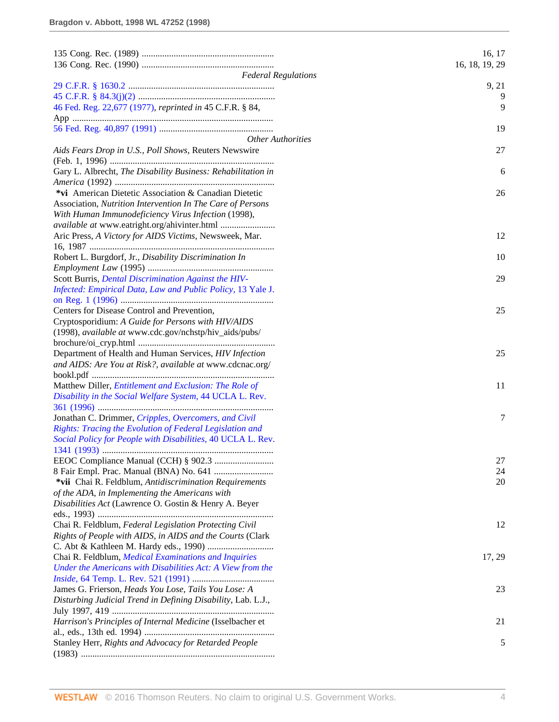|                                                               | 16, 17         |
|---------------------------------------------------------------|----------------|
|                                                               | 16, 18, 19, 29 |
| <b>Federal Regulations</b>                                    |                |
|                                                               | 9, 21<br>9     |
| 46 Fed. Reg. 22,677 (1977), reprinted in 45 C.F.R. § 84,      | 9              |
|                                                               |                |
|                                                               | 19             |
| <b>Other Authorities</b>                                      |                |
| Aids Fears Drop in U.S., Poll Shows, Reuters Newswire         | 27             |
|                                                               |                |
| Gary L. Albrecht, The Disability Business: Rehabilitation in  | 6              |
|                                                               |                |
| *vi American Dietetic Association & Canadian Dietetic         | 26             |
| Association, Nutrition Intervention In The Care of Persons    |                |
| With Human Immunodeficiency Virus Infection (1998),           |                |
|                                                               |                |
| Aric Press, A Victory for AIDS Victims, Newsweek, Mar.        | 12             |
| 16, 1987 ………………………………………………………………………                          |                |
| Robert L. Burgdorf, Jr., Disability Discrimination In         | 10             |
|                                                               |                |
| Scott Burris, <i>Dental Discrimination Against the HIV-</i>   | 29             |
| Infected: Empirical Data, Law and Public Policy, 13 Yale J.   |                |
|                                                               |                |
| Centers for Disease Control and Prevention,                   | 25             |
| Cryptosporidium: A Guide for Persons with HIV/AIDS            |                |
| (1998), available at www.cdc.gov/nchstp/hiv_aids/pubs/        |                |
|                                                               |                |
| Department of Health and Human Services, HIV Infection        | 25             |
| and AIDS: Are You at Risk?, available at www.cdcnac.org/      |                |
| Matthew Diller, <i>Entitlement and Exclusion: The Role of</i> | 11             |
| Disability in the Social Welfare System, 44 UCLA L. Rev.      |                |
|                                                               |                |
| Jonathan C. Drimmer, Cripples, Overcomers, and Civil          | 7              |
| Rights: Tracing the Evolution of Federal Legislation and      |                |
| Social Policy for People with Disabilities, 40 UCLA L. Rev.   |                |
|                                                               |                |
|                                                               | 27             |
|                                                               | 24             |
| *vii Chai R. Feldblum, Antidiscrimination Requirements        | 20             |
| of the ADA, in Implementing the Americans with                |                |
| Disabilities Act (Lawrence O. Gostin & Henry A. Beyer         |                |
|                                                               |                |
| Chai R. Feldblum, Federal Legislation Protecting Civil        | 12             |
| Rights of People with AIDS, in AIDS and the Courts (Clark     |                |
|                                                               |                |
| Chai R. Feldblum, Medical Examinations and Inquiries          | 17, 29         |
| Under the Americans with Disabilities Act: A View from the    |                |
|                                                               |                |
| James G. Frierson, Heads You Lose, Tails You Lose: A          | 23             |
| Disturbing Judicial Trend in Defining Disability, Lab. L.J.,  |                |
|                                                               |                |
| Harrison's Principles of Internal Medicine (Isselbacher et    | 21             |
| Stanley Herr, Rights and Advocacy for Retarded People         | 5              |
|                                                               |                |
|                                                               |                |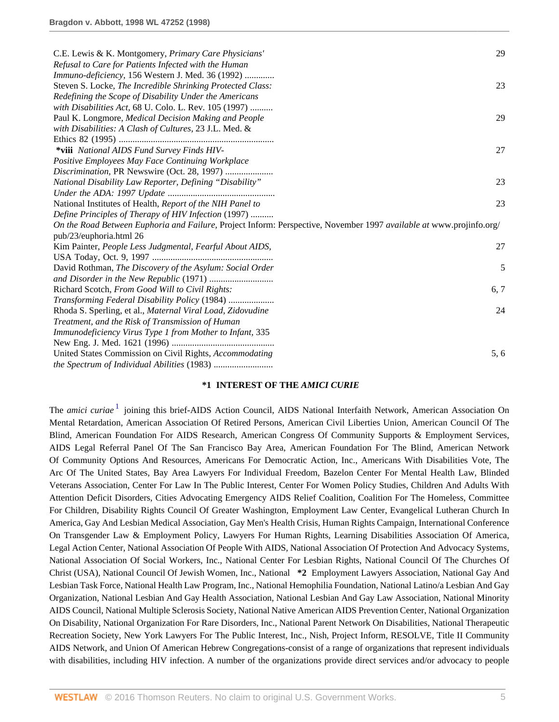| C.E. Lewis & K. Montgomery, Primary Care Physicians'                                                                | 29   |
|---------------------------------------------------------------------------------------------------------------------|------|
| Refusal to Care for Patients Infected with the Human                                                                |      |
| Immuno-deficiency, 156 Western J. Med. 36 (1992)                                                                    |      |
| Steven S. Locke, The Incredible Shrinking Protected Class:                                                          | 23   |
| Redefining the Scope of Disability Under the Americans                                                              |      |
| with Disabilities Act, 68 U. Colo. L. Rev. 105 (1997)                                                               |      |
| Paul K. Longmore, Medical Decision Making and People                                                                | 29   |
| with Disabilities: A Clash of Cultures, 23 J.L. Med. &                                                              |      |
|                                                                                                                     |      |
| *viii National AIDS Fund Survey Finds HIV-                                                                          | 27   |
| Positive Employees May Face Continuing Workplace                                                                    |      |
| Discrimination, PR Newswire (Oct. 28, 1997)                                                                         |      |
| National Disability Law Reporter, Defining "Disability"                                                             | 23   |
|                                                                                                                     |      |
| National Institutes of Health, Report of the NIH Panel to                                                           | 23   |
| Define Principles of Therapy of HIV Infection (1997)                                                                |      |
| On the Road Between Euphoria and Failure, Project Inform: Perspective, November 1997 available at www.projinfo.org/ |      |
| pub/23/euphoria.html 26                                                                                             |      |
| Kim Painter, People Less Judgmental, Fearful About AIDS,                                                            | 27   |
|                                                                                                                     |      |
| David Rothman, The Discovery of the Asylum: Social Order                                                            | 5    |
|                                                                                                                     |      |
| Richard Scotch, From Good Will to Civil Rights:                                                                     | 6, 7 |
| Transforming Federal Disability Policy (1984)                                                                       |      |
| Rhoda S. Sperling, et al., Maternal Viral Load, Zidovudine                                                          | 24   |
| Treatment, and the Risk of Transmission of Human                                                                    |      |
| Immunodeficiency Virus Type 1 from Mother to Infant, 335                                                            |      |
|                                                                                                                     |      |
| United States Commission on Civil Rights, Accommodating                                                             | 5, 6 |
|                                                                                                                     |      |

### **\*1 INTEREST OF THE** *AMICI CURIE*

<span id="page-4-0"></span>The *amici curiae*<sup>[1](#page-19-0)</sup> joining this brief-AIDS Action Council, AIDS National Interfaith Network, American Association On Mental Retardation, American Association Of Retired Persons, American Civil Liberties Union, American Council Of The Blind, American Foundation For AIDS Research, American Congress Of Community Supports & Employment Services, AIDS Legal Referral Panel Of The San Francisco Bay Area, American Foundation For The Blind, American Network Of Community Options And Resources, Americans For Democratic Action, Inc., Americans With Disabilities Vote, The Arc Of The United States, Bay Area Lawyers For Individual Freedom, Bazelon Center For Mental Health Law, Blinded Veterans Association, Center For Law In The Public Interest, Center For Women Policy Studies, Children And Adults With Attention Deficit Disorders, Cities Advocating Emergency AIDS Relief Coalition, Coalition For The Homeless, Committee For Children, Disability Rights Council Of Greater Washington, Employment Law Center, Evangelical Lutheran Church In America, Gay And Lesbian Medical Association, Gay Men's Health Crisis, Human Rights Campaign, International Conference On Transgender Law & Employment Policy, Lawyers For Human Rights, Learning Disabilities Association Of America, Legal Action Center, National Association Of People With AIDS, National Association Of Protection And Advocacy Systems, National Association Of Social Workers, Inc., National Center For Lesbian Rights, National Council Of The Churches Of Christ (USA), National Council Of Jewish Women, Inc., National **\*2** Employment Lawyers Association, National Gay And Lesbian Task Force, National Health Law Program, Inc., National Hemophilia Foundation, National Latino/a Lesbian And Gay Organization, National Lesbian And Gay Health Association, National Lesbian And Gay Law Association, National Minority AIDS Council, National Multiple Sclerosis Society, National Native American AIDS Prevention Center, National Organization On Disability, National Organization For Rare Disorders, Inc., National Parent Network On Disabilities, National Therapeutic Recreation Society, New York Lawyers For The Public Interest, Inc., Nish, Project Inform, RESOLVE, Title II Community AIDS Network, and Union Of American Hebrew Congregations-consist of a range of organizations that represent individuals with disabilities, including HIV infection. A number of the organizations provide direct services and/or advocacy to people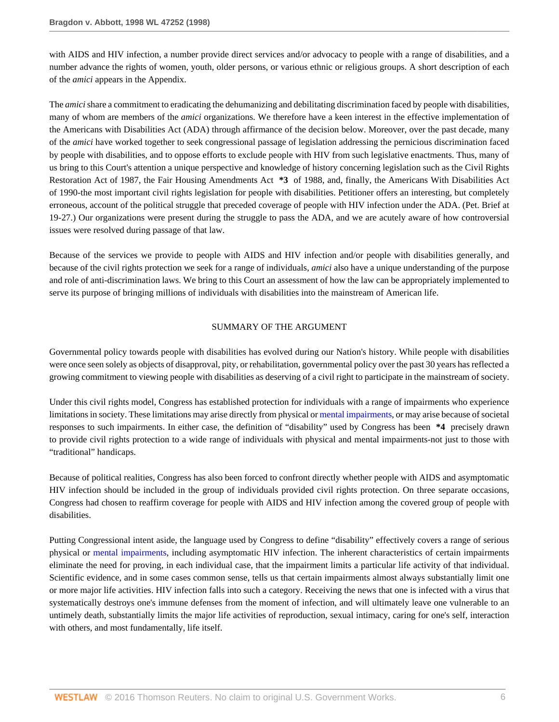with AIDS and HIV infection, a number provide direct services and/or advocacy to people with a range of disabilities, and a number advance the rights of women, youth, older persons, or various ethnic or religious groups. A short description of each of the *amici* appears in the Appendix.

The *amici* share a commitment to eradicating the dehumanizing and debilitating discrimination faced by people with disabilities, many of whom are members of the *amici* organizations. We therefore have a keen interest in the effective implementation of the Americans with Disabilities Act (ADA) through affirmance of the decision below. Moreover, over the past decade, many of the *amici* have worked together to seek congressional passage of legislation addressing the pernicious discrimination faced by people with disabilities, and to oppose efforts to exclude people with HIV from such legislative enactments. Thus, many of us bring to this Court's attention a unique perspective and knowledge of history concerning legislation such as the Civil Rights Restoration Act of 1987, the Fair Housing Amendments Act **\*3** of 1988, and, finally, the Americans With Disabilities Act of 1990-the most important civil rights legislation for people with disabilities. Petitioner offers an interesting, but completely erroneous, account of the political struggle that preceded coverage of people with HIV infection under the ADA. (Pet. Brief at 19-27.) Our organizations were present during the struggle to pass the ADA, and we are acutely aware of how controversial issues were resolved during passage of that law.

Because of the services we provide to people with AIDS and HIV infection and/or people with disabilities generally, and because of the civil rights protection we seek for a range of individuals, *amici* also have a unique understanding of the purpose and role of anti-discrimination laws. We bring to this Court an assessment of how the law can be appropriately implemented to serve its purpose of bringing millions of individuals with disabilities into the mainstream of American life.

#### SUMMARY OF THE ARGUMENT

Governmental policy towards people with disabilities has evolved during our Nation's history. While people with disabilities were once seen solely as objects of disapproval, pity, or rehabilitation, governmental policy over the past 30 years has reflected a growing commitment to viewing people with disabilities as deserving of a civil right to participate in the mainstream of society.

Under this civil rights model, Congress has established protection for individuals with a range of impairments who experience limitations in society. These limitations may arise directly from physical or [mental impairments](http://www.westlaw.com/Link/Document/FullText?entityType=disease&entityId=Ic94ca545475411db9765f9243f53508a&originationContext=document&transitionType=DocumentItem&contextData=(sc.Default)&vr=3.0&rs=cblt1.0), or may arise because of societal responses to such impairments. In either case, the definition of "disability" used by Congress has been **\*4** precisely drawn to provide civil rights protection to a wide range of individuals with physical and mental impairments-not just to those with "traditional" handicaps.

Because of political realities, Congress has also been forced to confront directly whether people with AIDS and asymptomatic HIV infection should be included in the group of individuals provided civil rights protection. On three separate occasions, Congress had chosen to reaffirm coverage for people with AIDS and HIV infection among the covered group of people with disabilities.

Putting Congressional intent aside, the language used by Congress to define "disability" effectively covers a range of serious physical or [mental impairments,](http://www.westlaw.com/Link/Document/FullText?entityType=disease&entityId=Ic94ca545475411db9765f9243f53508a&originationContext=document&transitionType=DocumentItem&contextData=(sc.Default)&vr=3.0&rs=cblt1.0) including asymptomatic HIV infection. The inherent characteristics of certain impairments eliminate the need for proving, in each individual case, that the impairment limits a particular life activity of that individual. Scientific evidence, and in some cases common sense, tells us that certain impairments almost always substantially limit one or more major life activities. HIV infection falls into such a category. Receiving the news that one is infected with a virus that systematically destroys one's immune defenses from the moment of infection, and will ultimately leave one vulnerable to an untimely death, substantially limits the major life activities of reproduction, sexual intimacy, caring for one's self, interaction with others, and most fundamentally, life itself.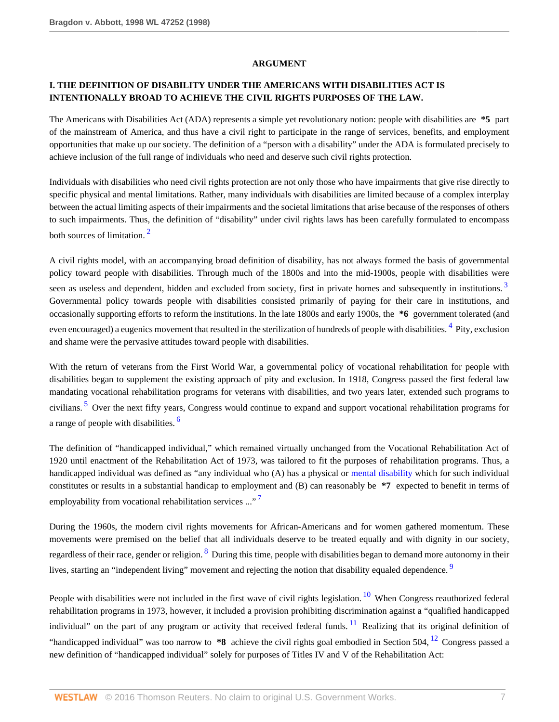#### <span id="page-6-2"></span><span id="page-6-1"></span>**ARGUMENT**

# **I. THE DEFINITION OF DISABILITY UNDER THE AMERICANS WITH DISABILITIES ACT IS INTENTIONALLY BROAD TO ACHIEVE THE CIVIL RIGHTS PURPOSES OF THE LAW.**

The Americans with Disabilities Act (ADA) represents a simple yet revolutionary notion: people with disabilities are **\*5** part of the mainstream of America, and thus have a civil right to participate in the range of services, benefits, and employment opportunities that make up our society. The definition of a "person with a disability" under the ADA is formulated precisely to achieve inclusion of the full range of individuals who need and deserve such civil rights protection.

Individuals with disabilities who need civil rights protection are not only those who have impairments that give rise directly to specific physical and mental limitations. Rather, many individuals with disabilities are limited because of a complex interplay between the actual limiting aspects of their impairments and the societal limitations that arise because of the responses of others to such impairments. Thus, the definition of "disability" under civil rights laws has been carefully formulated to encompass both sources of limitation.<sup>[2](#page-19-1)</sup>

<span id="page-6-0"></span>A civil rights model, with an accompanying broad definition of disability, has not always formed the basis of governmental policy toward people with disabilities. Through much of the 1800s and into the mid-1900s, people with disabilities were seen as useless and dependent, hidden and excluded from society, first in private homes and subsequently in institutions.<sup>[3](#page-19-2)</sup> Governmental policy towards people with disabilities consisted primarily of paying for their care in institutions, and occasionally supporting efforts to reform the institutions. In the late 1800s and early 1900s, the **\*6** government tolerated (and even encouraged) a eugenics movement that resulted in the sterilization of hundreds of people with disabilities. <sup>[4](#page-19-3)</sup> Pity, exclusion and shame were the pervasive attitudes toward people with disabilities.

<span id="page-6-3"></span>With the return of veterans from the First World War, a governmental policy of vocational rehabilitation for people with disabilities began to supplement the existing approach of pity and exclusion. In 1918, Congress passed the first federal law mandating vocational rehabilitation programs for veterans with disabilities, and two years later, extended such programs to civilians.<sup>[5](#page-19-4)</sup> Over the next fifty years, Congress would continue to expand and support vocational rehabilitation programs for a range of people with disabilities. [6](#page-19-5)

<span id="page-6-4"></span>The definition of "handicapped individual," which remained virtually unchanged from the Vocational Rehabilitation Act of 1920 until enactment of the Rehabilitation Act of 1973, was tailored to fit the purposes of rehabilitation programs. Thus, a handicapped individual was defined as "any individual who (A) has a physical or [mental disability](http://www.westlaw.com/Link/Document/FullText?entityType=disease&entityId=Ic94ca545475411db9765f9243f53508a&originationContext=document&transitionType=DocumentItem&contextData=(sc.Default)&vr=3.0&rs=cblt1.0) which for such individual constitutes or results in a substantial handicap to employment and (B) can reasonably be **\*7** expected to benefit in terms of employability from vocational rehabilitation services ..."

<span id="page-6-6"></span><span id="page-6-5"></span>During the 1960s, the modern civil rights movements for African-Americans and for women gathered momentum. These movements were premised on the belief that all individuals deserve to be treated equally and with dignity in our society, regardless of their race, gender or religion. <sup>[8](#page-19-7)</sup> During this time, people with disabilities began to demand more autonomy in their lives, starting an "independent living" movement and rejecting the notion that disability equaled dependence.

<span id="page-6-10"></span><span id="page-6-9"></span><span id="page-6-8"></span><span id="page-6-7"></span>People with disabilities were not included in the first wave of civil rights legislation.<sup>[10](#page-19-9)</sup> When Congress reauthorized federal rehabilitation programs in 1973, however, it included a provision prohibiting discrimination against a "qualified handicapped individual" on the part of any program or activity that received federal funds.<sup>[11](#page-19-10)</sup> Realizing that its original definition of "handicapped individual" was too narrow to **\*8** achieve the civil rights goal embodied in Section 504, [12](#page-19-11) Congress passed a new definition of "handicapped individual" solely for purposes of Titles IV and V of the Rehabilitation Act: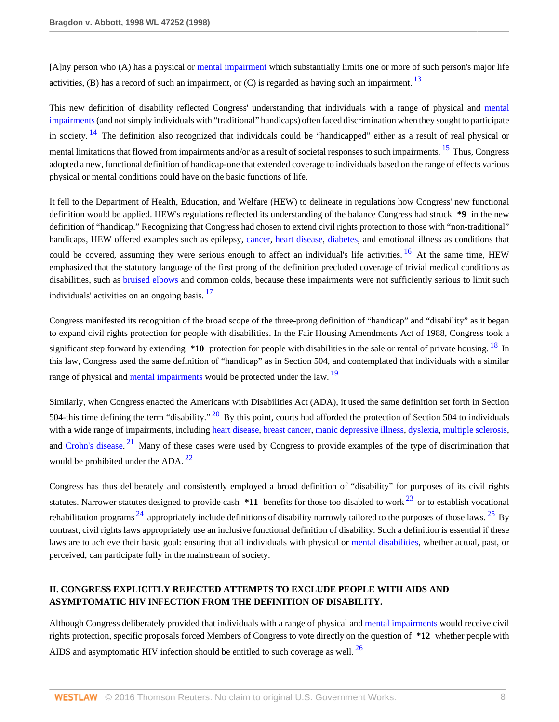<span id="page-7-0"></span>[A]ny person who (A) has a physical or [mental impairment](http://www.westlaw.com/Link/Document/FullText?entityType=disease&entityId=Ic94ca545475411db9765f9243f53508a&originationContext=document&transitionType=DocumentItem&contextData=(sc.Default)&vr=3.0&rs=cblt1.0) which substantially limits one or more of such person's major life activities, (B) has a record of such an impairment, or  $(C)$  is regarded as having such an impairment.  $13$ 

<span id="page-7-2"></span><span id="page-7-1"></span>This new definition of disability reflected Congress' understanding that individuals with a range of physical and [mental](http://www.westlaw.com/Link/Document/FullText?entityType=disease&entityId=Ic94ca545475411db9765f9243f53508a&originationContext=document&transitionType=DocumentItem&contextData=(sc.Default)&vr=3.0&rs=cblt1.0) [impairments](http://www.westlaw.com/Link/Document/FullText?entityType=disease&entityId=Ic94ca545475411db9765f9243f53508a&originationContext=document&transitionType=DocumentItem&contextData=(sc.Default)&vr=3.0&rs=cblt1.0) (and not simply individuals with "traditional" handicaps) often faced discrimination when they sought to participate in society.  $14$  The definition also recognized that individuals could be "handicapped" either as a result of real physical or mental limitations that flowed from impairments and/or as a result of societal responses to such impairments. <sup>[15](#page-19-14)</sup> Thus, Congress adopted a new, functional definition of handicap-one that extended coverage to individuals based on the range of effects various physical or mental conditions could have on the basic functions of life.

<span id="page-7-3"></span>It fell to the Department of Health, Education, and Welfare (HEW) to delineate in regulations how Congress' new functional definition would be applied. HEW's regulations reflected its understanding of the balance Congress had struck **\*9** in the new definition of "handicap." Recognizing that Congress had chosen to extend civil rights protection to those with "non-traditional" handicaps, HEW offered examples such as epilepsy, [cancer](http://www.westlaw.com/Link/Document/FullText?entityType=disease&entityId=Iaf34f5c3475411db9765f9243f53508a&originationContext=document&transitionType=DocumentItem&contextData=(sc.Default)&vr=3.0&rs=cblt1.0), [heart disease,](http://www.westlaw.com/Link/Document/FullText?entityType=disease&entityId=Ibe73170c475411db9765f9243f53508a&originationContext=document&transitionType=DocumentItem&contextData=(sc.Default)&vr=3.0&rs=cblt1.0) [diabetes,](http://www.westlaw.com/Link/Document/FullText?entityType=disease&entityId=Ibf435f3e475411db9765f9243f53508a&originationContext=document&transitionType=DocumentItem&contextData=(sc.Default)&vr=3.0&rs=cblt1.0) and emotional illness as conditions that could be covered, assuming they were serious enough to affect an individual's life activities. <sup>[16](#page-19-15)</sup> At the same time, HEW emphasized that the statutory language of the first prong of the definition precluded coverage of trivial medical conditions as disabilities, such as [bruised elbows](http://www.westlaw.com/Link/Document/FullText?entityType=injury&entityId=Iafb06707475411db9765f9243f53508a&originationContext=document&transitionType=DocumentItem&contextData=(sc.Default)&vr=3.0&rs=cblt1.0) and common colds, because these impairments were not sufficiently serious to limit such individuals' activities on an ongoing basis.<sup>[17](#page-19-16)</sup>

<span id="page-7-5"></span><span id="page-7-4"></span>Congress manifested its recognition of the broad scope of the three-prong definition of "handicap" and "disability" as it began to expand civil rights protection for people with disabilities. In the Fair Housing Amendments Act of 1988, Congress took a significant step forward by extending \*10 protection for people with disabilities in the sale or rental of private housing. <sup>[18](#page-19-17)</sup> In this law, Congress used the same definition of "handicap" as in Section 504, and contemplated that individuals with a similar range of physical and [mental impairments](http://www.westlaw.com/Link/Document/FullText?entityType=disease&entityId=Ic94ca545475411db9765f9243f53508a&originationContext=document&transitionType=DocumentItem&contextData=(sc.Default)&vr=3.0&rs=cblt1.0) would be protected under the law. <sup>[19](#page-19-18)</sup>

<span id="page-7-8"></span><span id="page-7-7"></span><span id="page-7-6"></span>Similarly, when Congress enacted the Americans with Disabilities Act (ADA), it used the same definition set forth in Section 504-this time defining the term "disability." <sup>[20](#page-19-19)</sup> By this point, courts had afforded the protection of Section 504 to individuals with a wide range of impairments, including [heart disease,](http://www.westlaw.com/Link/Document/FullText?entityType=disease&entityId=Ibe73170c475411db9765f9243f53508a&originationContext=document&transitionType=DocumentItem&contextData=(sc.Default)&vr=3.0&rs=cblt1.0) [breast cancer,](http://www.westlaw.com/Link/Document/FullText?entityType=disease&entityId=Ib73a5554475411db9765f9243f53508a&originationContext=document&transitionType=DocumentItem&contextData=(sc.Default)&vr=3.0&rs=cblt1.0) [manic depressive illness](http://www.westlaw.com/Link/Document/FullText?entityType=disease&entityId=Iad9f3ab7475411db9765f9243f53508a&originationContext=document&transitionType=DocumentItem&contextData=(sc.Default)&vr=3.0&rs=cblt1.0), [dyslexia,](http://www.westlaw.com/Link/Document/FullText?entityType=disease&entityId=Ib0dcb27b475411db9765f9243f53508a&originationContext=document&transitionType=DocumentItem&contextData=(sc.Default)&vr=3.0&rs=cblt1.0) [multiple sclerosis,](http://www.westlaw.com/Link/Document/FullText?entityType=disease&entityId=Ic5e7a876475411db9765f9243f53508a&originationContext=document&transitionType=DocumentItem&contextData=(sc.Default)&vr=3.0&rs=cblt1.0) and [Crohn's disease.](http://www.westlaw.com/Link/Document/FullText?entityType=disease&entityId=Ibdaf9fd0475411db9765f9243f53508a&originationContext=document&transitionType=DocumentItem&contextData=(sc.Default)&vr=3.0&rs=cblt1.0)<sup>[21](#page-19-20)</sup> Many of these cases were used by Congress to provide examples of the type of discrimination that would be prohibited under the ADA. [22](#page-19-21)

<span id="page-7-12"></span><span id="page-7-11"></span><span id="page-7-10"></span><span id="page-7-9"></span>Congress has thus deliberately and consistently employed a broad definition of "disability" for purposes of its civil rights statutes. Narrower statutes designed to provide cash  $*11$  benefits for those too disabled to work  $^{23}$  $^{23}$  $^{23}$  or to establish vocational rehabilitation programs  $^{24}$  $^{24}$  $^{24}$  appropriately include definitions of disability narrowly tailored to the purposes of those laws.  $^{25}$  $^{25}$  $^{25}$  By contrast, civil rights laws appropriately use an inclusive functional definition of disability. Such a definition is essential if these laws are to achieve their basic goal: ensuring that all individuals with physical or [mental disabilities,](http://www.westlaw.com/Link/Document/FullText?entityType=disease&entityId=Ic94ca545475411db9765f9243f53508a&originationContext=document&transitionType=DocumentItem&contextData=(sc.Default)&vr=3.0&rs=cblt1.0) whether actual, past, or perceived, can participate fully in the mainstream of society.

# **II. CONGRESS EXPLICITLY REJECTED ATTEMPTS TO EXCLUDE PEOPLE WITH AIDS AND ASYMPTOMATIC HIV INFECTION FROM THE DEFINITION OF DISABILITY.**

<span id="page-7-13"></span>Although Congress deliberately provided that individuals with a range of physical and [mental impairments](http://www.westlaw.com/Link/Document/FullText?entityType=disease&entityId=Ic94ca545475411db9765f9243f53508a&originationContext=document&transitionType=DocumentItem&contextData=(sc.Default)&vr=3.0&rs=cblt1.0) would receive civil rights protection, specific proposals forced Members of Congress to vote directly on the question of **\*12** whether people with AIDS and asymptomatic HIV infection should be entitled to such coverage as well.  $^{26}$  $^{26}$  $^{26}$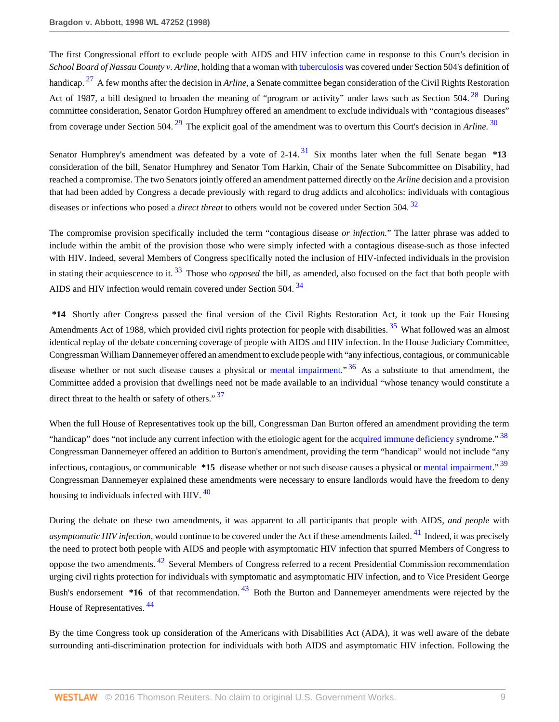<span id="page-8-1"></span><span id="page-8-0"></span>The first Congressional effort to exclude people with AIDS and HIV infection came in response to this Court's decision in *School Board of Nassau County v. Arline,* holding that a woman with [tuberculosis](http://www.westlaw.com/Link/Document/FullText?entityType=disease&entityId=Ic2ccfb5e475411db9765f9243f53508a&originationContext=document&transitionType=DocumentItem&contextData=(sc.Default)&vr=3.0&rs=cblt1.0) was covered under Section 504's definition of handicap. [27](#page-19-26) A few months after the decision in *Arline,* a Senate committee began consideration of the Civil Rights Restoration Act of 1987, a bill designed to broaden the meaning of "program or activity" under laws such as Section  $504.<sup>28</sup>$  $504.<sup>28</sup>$  $504.<sup>28</sup>$  During committee consideration, Senator Gordon Humphrey offered an amendment to exclude individuals with "contagious diseases" from coverage under Section 504. [29](#page-20-1) The explicit goal of the amendment was to overturn this Court's decision in *Arline.* [30](#page-20-2)

<span id="page-8-4"></span><span id="page-8-3"></span><span id="page-8-2"></span>Senator Humphrey's amendment was defeated by a vote of 2-14.<sup>[31](#page-20-3)</sup> Six months later when the full Senate began \*13 consideration of the bill, Senator Humphrey and Senator Tom Harkin, Chair of the Senate Subcommittee on Disability, had reached a compromise. The two Senators jointly offered an amendment patterned directly on the *Arline* decision and a provision that had been added by Congress a decade previously with regard to drug addicts and alcoholics: individuals with contagious diseases or infections who posed a *direct threat* to others would not be covered under Section 504. [32](#page-20-4)

<span id="page-8-6"></span><span id="page-8-5"></span>The compromise provision specifically included the term "contagious disease *or infection.*" The latter phrase was added to include within the ambit of the provision those who were simply infected with a contagious disease-such as those infected with HIV. Indeed, several Members of Congress specifically noted the inclusion of HIV-infected individuals in the provision in stating their acquiescence to it. [33](#page-20-5) Those who *opposed* the bill, as amended, also focused on the fact that both people with AIDS and HIV infection would remain covered under Section 504.<sup>[34](#page-20-6)</sup>

<span id="page-8-9"></span><span id="page-8-8"></span><span id="page-8-7"></span>**\*14** Shortly after Congress passed the final version of the Civil Rights Restoration Act, it took up the Fair Housing Amendments Act of 1988, which provided civil rights protection for people with disabilities.<sup>[35](#page-20-7)</sup> What followed was an almost identical replay of the debate concerning coverage of people with AIDS and HIV infection. In the House Judiciary Committee, Congressman William Dannemeyer offered an amendment to exclude people with "any infectious, contagious, or communicable disease whether or not such disease causes a physical or [mental impairment](http://www.westlaw.com/Link/Document/FullText?entityType=disease&entityId=Ic94ca545475411db9765f9243f53508a&originationContext=document&transitionType=DocumentItem&contextData=(sc.Default)&vr=3.0&rs=cblt1.0).<sup>"[36](#page-20-8)</sup> As a substitute to that amendment, the Committee added a provision that dwellings need not be made available to an individual "whose tenancy would constitute a direct threat to the health or safety of others." [37](#page-20-9)

<span id="page-8-12"></span><span id="page-8-11"></span><span id="page-8-10"></span>When the full House of Representatives took up the bill, Congressman Dan Burton offered an amendment providing the term "handicap" does "not include any current infection with the etiologic agent for the [acquired immune deficiency](http://www.westlaw.com/Link/Document/FullText?entityType=disease&entityId=Ibb976e1a475411db9765f9243f53508a&originationContext=document&transitionType=DocumentItem&contextData=(sc.Default)&vr=3.0&rs=cblt1.0) syndrome."<sup>[38](#page-20-10)</sup> Congressman Dannemeyer offered an addition to Burton's amendment, providing the term "handicap" would not include "any infectious, contagious, or communicable **\*15** disease whether or not such disease causes a physical or [mental impairment](http://www.westlaw.com/Link/Document/FullText?entityType=disease&entityId=Ic94ca545475411db9765f9243f53508a&originationContext=document&transitionType=DocumentItem&contextData=(sc.Default)&vr=3.0&rs=cblt1.0)." [39](#page-20-11) Congressman Dannemeyer explained these amendments were necessary to ensure landlords would have the freedom to deny housing to individuals infected with HIV.  $40$ 

<span id="page-8-15"></span><span id="page-8-14"></span><span id="page-8-13"></span>During the debate on these two amendments, it was apparent to all participants that people with AIDS, *and people* with *asymptomatic HIV infection*, would continue to be covered under the Act if these amendments failed. <sup>[41](#page-20-13)</sup> Indeed, it was precisely the need to protect both people with AIDS and people with asymptomatic HIV infection that spurred Members of Congress to oppose the two amendments. <sup>[42](#page-20-14)</sup> Several Members of Congress referred to a recent Presidential Commission recommendation urging civil rights protection for individuals with symptomatic and asymptomatic HIV infection, and to Vice President George Bush's endorsement **\*16** of that recommendation. <sup>[43](#page-20-15)</sup> Both the Burton and Dannemeyer amendments were rejected by the House of Representatives. [44](#page-20-16)

<span id="page-8-17"></span><span id="page-8-16"></span>By the time Congress took up consideration of the Americans with Disabilities Act (ADA), it was well aware of the debate surrounding anti-discrimination protection for individuals with both AIDS and asymptomatic HIV infection. Following the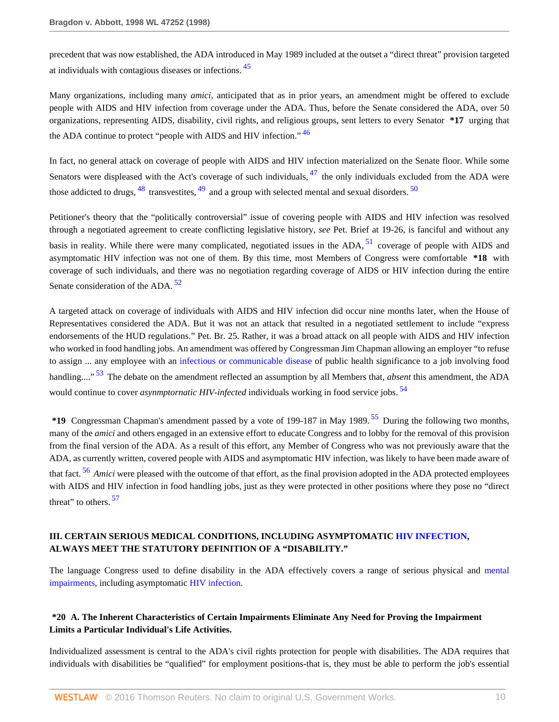<span id="page-9-0"></span>precedent that was now established, the ADA introduced in May 1989 included at the outset a "direct threat" provision targeted at individuals with contagious diseases or infections. [45](#page-20-17)

Many organizations, including many *amici,* anticipated that as in prior years, an amendment might be offered to exclude people with AIDS and HIV infection from coverage under the ADA. Thus, before the Senate considered the ADA, over 50 organizations, representing AIDS, disability, civil rights, and religious groups, sent letters to every Senator **\*17** urging that the ADA continue to protect "people with AIDS and HIV infection." <sup>[46](#page-20-18)</sup>

<span id="page-9-5"></span><span id="page-9-4"></span><span id="page-9-3"></span><span id="page-9-2"></span><span id="page-9-1"></span>In fact, no general attack on coverage of people with AIDS and HIV infection materialized on the Senate floor. While some Senators were displeased with the Act's coverage of such individuals,  $47$  the only individuals excluded from the ADA were those addicted to drugs,  $^{48}$  $^{48}$  $^{48}$  transvestites,  $^{49}$  $^{49}$  $^{49}$  and a group with selected mental and sexual disorders.  $^{50}$  $^{50}$  $^{50}$ 

<span id="page-9-6"></span>Petitioner's theory that the "politically controversial" issue of covering people with AIDS and HIV infection was resolved through a negotiated agreement to create conflicting legislative history, *see* Pet. Brief at 19-26, is fanciful and without any basis in reality. While there were many complicated, negotiated issues in the  $ADA$ ,  $51$  coverage of people with AIDS and asymptomatic HIV infection was not one of them. By this time, most Members of Congress were comfortable **\*18** with coverage of such individuals, and there was no negotiation regarding coverage of AIDS or HIV infection during the entire Senate consideration of the ADA.<sup>[52](#page-20-24)</sup>

<span id="page-9-7"></span>A targeted attack on coverage of individuals with AIDS and HIV infection did occur nine months later, when the House of Representatives considered the ADA. But it was not an attack that resulted in a negotiated settlement to include "express endorsements of the HUD regulations." Pet. Br. 25. Rather, it was a broad attack on all people with AIDS and HIV infection who worked in food handling jobs. An amendment was offered by Congressman Jim Chapman allowing an employer "to refuse to assign ... any employee with an [infectious or communicable disease](http://www.westlaw.com/Link/Document/FullText?entityType=disease&entityId=Ic63ad229475411db9765f9243f53508a&originationContext=document&transitionType=DocumentItem&contextData=(sc.Default)&vr=3.0&rs=cblt1.0) of public health significance to a job involving food handling...." [53](#page-21-0) The debate on the amendment reflected an assumption by all Members that, *absent* this amendment, the ADA would continue to cover *asynmptornatic HIV-infected* individuals working in food service jobs.<sup>[54](#page-21-1)</sup>

<span id="page-9-11"></span><span id="page-9-10"></span><span id="page-9-9"></span><span id="page-9-8"></span>**\*19** Congressman Chapman's amendment passed by a vote of 199-187 in May 1989. [55](#page-21-2) During the following two months, many of the *amici* and others engaged in an extensive effort to educate Congress and to lobby for the removal of this provision from the final version of the ADA. As a result of this effort, any Member of Congress who was not previously aware that the ADA, as currently written, covered people with AIDS and asymptomatic HIV infection, was likely to have been made aware of that fact. [56](#page-21-3) *Amici* were pleased with the outcome of that effort, as the final provision adopted in the ADA protected employees with AIDS and HIV infection in food handling jobs, just as they were protected in other positions where they pose no "direct threat" to others.  $57$ 

## <span id="page-9-12"></span>**III. CERTAIN SERIOUS MEDICAL CONDITIONS, INCLUDING ASYMPTOMATIC [HIV INFECTION,](http://www.westlaw.com/Link/Document/FullText?entityType=disease&entityId=Ic6518dc1475411db9765f9243f53508a&originationContext=document&transitionType=DocumentItem&contextData=(sc.Default)&vr=3.0&rs=cblt1.0) ALWAYS MEET THE STATUTORY DEFINITION OF A "DISABILITY."**

The language Congress used to define disability in the ADA effectively covers a range of serious physical and [mental](http://www.westlaw.com/Link/Document/FullText?entityType=disease&entityId=Ic94ca545475411db9765f9243f53508a&originationContext=document&transitionType=DocumentItem&contextData=(sc.Default)&vr=3.0&rs=cblt1.0) [impairments](http://www.westlaw.com/Link/Document/FullText?entityType=disease&entityId=Ic94ca545475411db9765f9243f53508a&originationContext=document&transitionType=DocumentItem&contextData=(sc.Default)&vr=3.0&rs=cblt1.0), including asymptomatic [HIV infection.](http://www.westlaw.com/Link/Document/FullText?entityType=disease&entityId=Ic6518dc1475411db9765f9243f53508a&originationContext=document&transitionType=DocumentItem&contextData=(sc.Default)&vr=3.0&rs=cblt1.0)

## **\*20 A. The Inherent Characteristics of Certain Impairments Eliminate Any Need for Proving the Impairment Limits a Particular Individual's Life Activities.**

Individualized assessment is central to the ADA's civil rights protection for people with disabilities. The ADA requires that individuals with disabilities be "qualified" for employment positions-that is, they must be able to perform the job's essential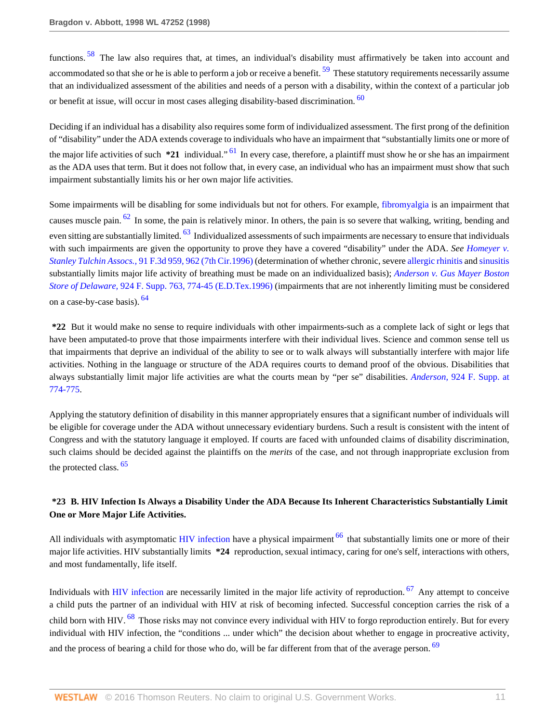<span id="page-10-1"></span><span id="page-10-0"></span>functions. [58](#page-21-5) The law also requires that, at times, an individual's disability must affirmatively be taken into account and accommodated so that she or he is able to perform a job or receive a benefit.  $59$  These statutory requirements necessarily assume that an individualized assessment of the abilities and needs of a person with a disability, within the context of a particular job or benefit at issue, will occur in most cases alleging disability-based discrimination. <sup>[60](#page-21-7)</sup>

<span id="page-10-3"></span><span id="page-10-2"></span>Deciding if an individual has a disability also requires some form of individualized assessment. The first prong of the definition of "disability" under the ADA extends coverage to individuals who have an impairment that "substantially limits one or more of the major life activities of such **\*21** individual." [61](#page-21-8) In every case, therefore, a plaintiff must show he or she has an impairment as the ADA uses that term. But it does not follow that, in every case, an individual who has an impairment must show that such impairment substantially limits his or her own major life activities.

<span id="page-10-5"></span><span id="page-10-4"></span>Some impairments will be disabling for some individuals but not for others. For example, [fibromyalgia](http://www.westlaw.com/Link/Document/FullText?entityType=disease&entityId=Ic21f0856475411db9765f9243f53508a&originationContext=document&transitionType=DocumentItem&contextData=(sc.Default)&vr=3.0&rs=cblt1.0) is an impairment that causes muscle pain. <sup>[62](#page-21-9)</sup> In some, the pain is relatively minor. In others, the pain is so severe that walking, writing, bending and even sitting are substantially limited. <sup>[63](#page-21-10)</sup> Individualized assessments of such impairments are necessary to ensure that individuals with such impairments are given the opportunity to prove they have a covered "disability" under the ADA. *See [Homeyer v.](http://www.westlaw.com/Link/Document/FullText?findType=Y&serNum=1996172778&pubNum=506&originatingDoc=Ie682b9d3482f11d9a5bfc0e3c4d1ea15&refType=RP&fi=co_pp_sp_506_962&originationContext=document&vr=3.0&rs=cblt1.0&transitionType=DocumentItem&contextData=(sc.RelatedInfo)#co_pp_sp_506_962) Stanley Tulchin Assocs.,* [91 F.3d 959, 962 \(7th Cir.1996\)](http://www.westlaw.com/Link/Document/FullText?findType=Y&serNum=1996172778&pubNum=506&originatingDoc=Ie682b9d3482f11d9a5bfc0e3c4d1ea15&refType=RP&fi=co_pp_sp_506_962&originationContext=document&vr=3.0&rs=cblt1.0&transitionType=DocumentItem&contextData=(sc.RelatedInfo)#co_pp_sp_506_962) (determination of whether chronic, severe [allergic rhinitis](http://www.westlaw.com/Link/Document/FullText?entityType=disease&entityId=Ib60fb874475411db9765f9243f53508a&originationContext=document&transitionType=DocumentItem&contextData=(sc.Default)&vr=3.0&rs=cblt1.0) and [sinusitis](http://www.westlaw.com/Link/Document/FullText?entityType=disease&entityId=Ic844abfa475411db9765f9243f53508a&originationContext=document&transitionType=DocumentItem&contextData=(sc.Default)&vr=3.0&rs=cblt1.0) substantially limits major life activity of breathing must be made on an individualized basis); *[Anderson v. Gus Mayer Boston](http://www.westlaw.com/Link/Document/FullText?findType=Y&serNum=1996093801&pubNum=345&originatingDoc=Ie682b9d3482f11d9a5bfc0e3c4d1ea15&refType=RP&fi=co_pp_sp_345_774&originationContext=document&vr=3.0&rs=cblt1.0&transitionType=DocumentItem&contextData=(sc.RelatedInfo)#co_pp_sp_345_774) Store of Delaware,* [924 F. Supp. 763, 774-45 \(E.D.Tex.1996\)](http://www.westlaw.com/Link/Document/FullText?findType=Y&serNum=1996093801&pubNum=345&originatingDoc=Ie682b9d3482f11d9a5bfc0e3c4d1ea15&refType=RP&fi=co_pp_sp_345_774&originationContext=document&vr=3.0&rs=cblt1.0&transitionType=DocumentItem&contextData=(sc.RelatedInfo)#co_pp_sp_345_774) (impairments that are not inherently limiting must be considered on a case-by-case basis).  $64$ 

<span id="page-10-6"></span>**\*22** But it would make no sense to require individuals with other impairments-such as a complete lack of sight or legs that have been amputated-to prove that those impairments interfere with their individual lives. Science and common sense tell us that impairments that deprive an individual of the ability to see or to walk always will substantially interfere with major life activities. Nothing in the language or structure of the ADA requires courts to demand proof of the obvious. Disabilities that always substantially limit major life activities are what the courts mean by "per se" disabilities. *Anderson,* [924 F. Supp. at](http://www.westlaw.com/Link/Document/FullText?findType=Y&serNum=1996093801&pubNum=345&originatingDoc=Ie682b9d3482f11d9a5bfc0e3c4d1ea15&refType=RP&fi=co_pp_sp_345_774&originationContext=document&vr=3.0&rs=cblt1.0&transitionType=DocumentItem&contextData=(sc.RelatedInfo)#co_pp_sp_345_774) [774-775](http://www.westlaw.com/Link/Document/FullText?findType=Y&serNum=1996093801&pubNum=345&originatingDoc=Ie682b9d3482f11d9a5bfc0e3c4d1ea15&refType=RP&fi=co_pp_sp_345_774&originationContext=document&vr=3.0&rs=cblt1.0&transitionType=DocumentItem&contextData=(sc.RelatedInfo)#co_pp_sp_345_774).

Applying the statutory definition of disability in this manner appropriately ensures that a significant number of individuals will be eligible for coverage under the ADA without unnecessary evidentiary burdens. Such a result is consistent with the intent of Congress and with the statutory language it employed. If courts are faced with unfounded claims of disability discrimination, such claims should be decided against the plaintiffs on the *merits* of the case, and not through inappropriate exclusion from the protected class. <sup>[65](#page-21-12)</sup>

# <span id="page-10-7"></span>**\*23 B. HIV Infection Is Always a Disability Under the ADA Because Its Inherent Characteristics Substantially Limit One or More Major Life Activities.**

<span id="page-10-8"></span>All individuals with asymptomatic [HIV infection](http://www.westlaw.com/Link/Document/FullText?entityType=disease&entityId=Ic6518dc1475411db9765f9243f53508a&originationContext=document&transitionType=DocumentItem&contextData=(sc.Default)&vr=3.0&rs=cblt1.0) have a physical impairment  $^{66}$  $^{66}$  $^{66}$  that substantially limits one or more of their major life activities. HIV substantially limits **\*24** reproduction, sexual intimacy, caring for one's self, interactions with others, and most fundamentally, life itself.

<span id="page-10-11"></span><span id="page-10-10"></span><span id="page-10-9"></span>Individuals with [HIV infection](http://www.westlaw.com/Link/Document/FullText?entityType=disease&entityId=Ic6518dc1475411db9765f9243f53508a&originationContext=document&transitionType=DocumentItem&contextData=(sc.Default)&vr=3.0&rs=cblt1.0) are necessarily limited in the major life activity of reproduction. <sup>[67](#page-21-14)</sup> Any attempt to conceive a child puts the partner of an individual with HIV at risk of becoming infected. Successful conception carries the risk of a child born with HIV. <sup>[68](#page-22-0)</sup> Those risks may not convince every individual with HIV to forgo reproduction entirely. But for every individual with HIV infection, the "conditions ... under which" the decision about whether to engage in procreative activity, and the process of bearing a child for those who do, will be far different from that of the average person. <sup>[69](#page-22-1)</sup>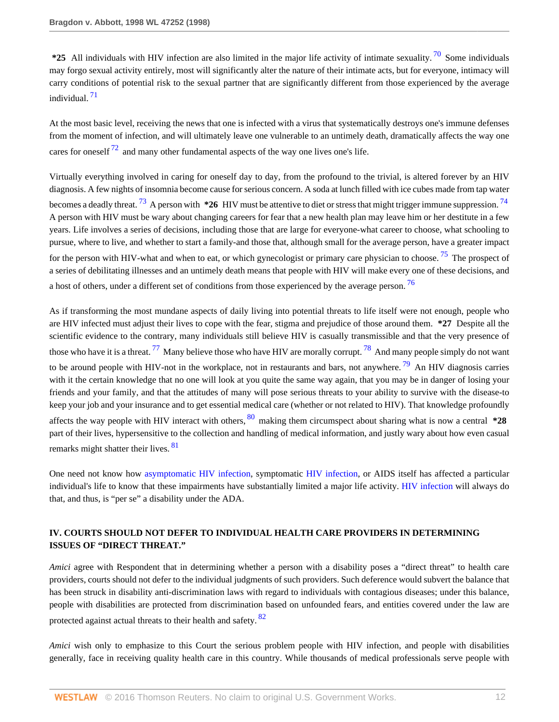<span id="page-11-0"></span>**\*25** All individuals with HIV infection are also limited in the major life activity of intimate sexuality. [70](#page-22-2) Some individuals may forgo sexual activity entirely, most will significantly alter the nature of their intimate acts, but for everyone, intimacy will carry conditions of potential risk to the sexual partner that are significantly different from those experienced by the average individual. [71](#page-22-3)

<span id="page-11-2"></span><span id="page-11-1"></span>At the most basic level, receiving the news that one is infected with a virus that systematically destroys one's immune defenses from the moment of infection, and will ultimately leave one vulnerable to an untimely death, dramatically affects the way one cares for oneself  $^{72}$  $^{72}$  $^{72}$  and many other fundamental aspects of the way one lives one's life.

<span id="page-11-4"></span><span id="page-11-3"></span>Virtually everything involved in caring for oneself day to day, from the profound to the trivial, is altered forever by an HIV diagnosis. A few nights of insomnia become cause for serious concern. A soda at lunch filled with ice cubes made from tap water becomes a deadly threat. [73](#page-22-5) A person with **\*26** HIV must be attentive to diet or stress that might trigger immune suppression. [74](#page-22-6) A person with HIV must be wary about changing careers for fear that a new health plan may leave him or her destitute in a few years. Life involves a series of decisions, including those that are large for everyone-what career to choose, what schooling to pursue, where to live, and whether to start a family-and those that, although small for the average person, have a greater impact for the person with HIV-what and when to eat, or which gynecologist or primary care physician to choose.<sup>[75](#page-22-7)</sup> The prospect of a series of debilitating illnesses and an untimely death means that people with HIV will make every one of these decisions, and a host of others, under a different set of conditions from those experienced by the average person.<sup>[76](#page-22-8)</sup>

<span id="page-11-9"></span><span id="page-11-8"></span><span id="page-11-7"></span><span id="page-11-6"></span><span id="page-11-5"></span>As if transforming the most mundane aspects of daily living into potential threats to life itself were not enough, people who are HIV infected must adjust their lives to cope with the fear, stigma and prejudice of those around them. **\*27** Despite all the scientific evidence to the contrary, many individuals still believe HIV is casually transmissible and that the very presence of those who have it is a threat.  $^{77}$  $^{77}$  $^{77}$  Many believe those who have HIV are morally corrupt.  $^{78}$  $^{78}$  $^{78}$  And many people simply do not want to be around people with HIV-not in the workplace, not in restaurants and bars, not anywhere.  $^{79}$  $^{79}$  $^{79}$  An HIV diagnosis carries with it the certain knowledge that no one will look at you quite the same way again, that you may be in danger of losing your friends and your family, and that the attitudes of many will pose serious threats to your ability to survive with the disease-to keep your job and your insurance and to get essential medical care (whether or not related to HIV). That knowledge profoundly affects the way people with HIV interact with others,  $\frac{80}{2}$  $\frac{80}{2}$  $\frac{80}{2}$  making them circumspect about sharing what is now a central **\*28** part of their lives, hypersensitive to the collection and handling of medical information, and justly wary about how even casual remarks might shatter their lives. <sup>[81](#page-22-13)</sup>

<span id="page-11-11"></span><span id="page-11-10"></span>One need not know how [asymptomatic HIV infection,](http://www.westlaw.com/Link/Document/FullText?entityType=disease&entityId=Iad56e671475411db9765f9243f53508a&originationContext=document&transitionType=DocumentItem&contextData=(sc.Default)&vr=3.0&rs=cblt1.0) symptomatic [HIV infection](http://www.westlaw.com/Link/Document/FullText?entityType=disease&entityId=Ic6518dc1475411db9765f9243f53508a&originationContext=document&transitionType=DocumentItem&contextData=(sc.Default)&vr=3.0&rs=cblt1.0), or AIDS itself has affected a particular individual's life to know that these impairments have substantially limited a major life activity. [HIV infection](http://www.westlaw.com/Link/Document/FullText?entityType=disease&entityId=Ic6518dc1475411db9765f9243f53508a&originationContext=document&transitionType=DocumentItem&contextData=(sc.Default)&vr=3.0&rs=cblt1.0) will always do that, and thus, is "per se" a disability under the ADA.

## **IV. COURTS SHOULD NOT DEFER TO INDIVIDUAL HEALTH CARE PROVIDERS IN DETERMINING ISSUES OF "DIRECT THREAT."**

*Amici* agree with Respondent that in determining whether a person with a disability poses a "direct threat" to health care providers, courts should not defer to the individual judgments of such providers. Such deference would subvert the balance that has been struck in disability anti-discrimination laws with regard to individuals with contagious diseases; under this balance, people with disabilities are protected from discrimination based on unfounded fears, and entities covered under the law are protected against actual threats to their health and safety. <sup>[82](#page-22-14)</sup>

<span id="page-11-12"></span>*Amici* wish only to emphasize to this Court the serious problem people with HIV infection, and people with disabilities generally, face in receiving quality health care in this country. While thousands of medical professionals serve people with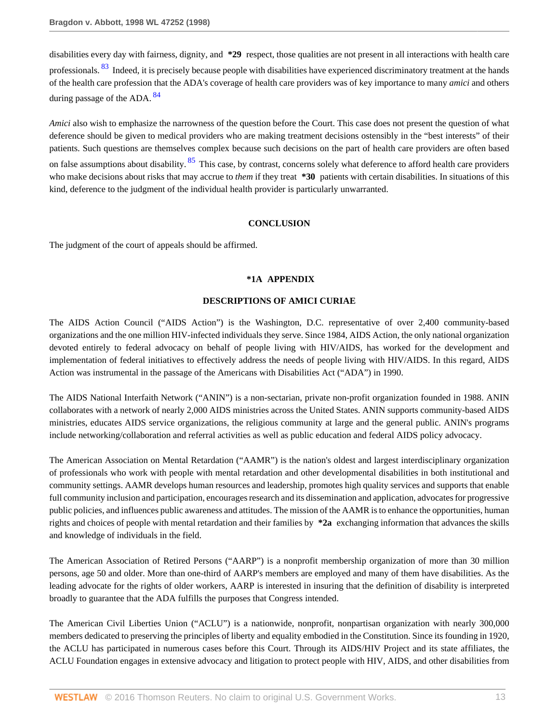<span id="page-12-0"></span>disabilities every day with fairness, dignity, and **\*29** respect, those qualities are not present in all interactions with health care professionals. <sup>[83](#page-22-15)</sup> Indeed, it is precisely because people with disabilities have experienced discriminatory treatment at the hands of the health care profession that the ADA's coverage of health care providers was of key importance to many *amici* and others during passage of the ADA.  $84$ 

<span id="page-12-1"></span>*Amici* also wish to emphasize the narrowness of the question before the Court. This case does not present the question of what deference should be given to medical providers who are making treatment decisions ostensibly in the "best interests" of their patients. Such questions are themselves complex because such decisions on the part of health care providers are often based on false assumptions about disability. <sup>[85](#page-22-17)</sup> This case, by contrast, concerns solely what deference to afford health care providers who make decisions about risks that may accrue to *them* if they treat **\*30** patients with certain disabilities. In situations of this kind, deference to the judgment of the individual health provider is particularly unwarranted.

### <span id="page-12-2"></span>**CONCLUSION**

The judgment of the court of appeals should be affirmed.

#### **\*1A APPENDIX**

### **DESCRIPTIONS OF AMICI CURIAE**

The AIDS Action Council ("AIDS Action") is the Washington, D.C. representative of over 2,400 community-based organizations and the one million HIV-infected individuals they serve. Since 1984, AIDS Action, the only national organization devoted entirely to federal advocacy on behalf of people living with HIV/AIDS, has worked for the development and implementation of federal initiatives to effectively address the needs of people living with HIV/AIDS. In this regard, AIDS Action was instrumental in the passage of the Americans with Disabilities Act ("ADA") in 1990.

The AIDS National Interfaith Network ("ANIN") is a non-sectarian, private non-profit organization founded in 1988. ANIN collaborates with a network of nearly 2,000 AIDS ministries across the United States. ANIN supports community-based AIDS ministries, educates AIDS service organizations, the religious community at large and the general public. ANIN's programs include networking/collaboration and referral activities as well as public education and federal AIDS policy advocacy.

The American Association on Mental Retardation ("AAMR") is the nation's oldest and largest interdisciplinary organization of professionals who work with people with mental retardation and other developmental disabilities in both institutional and community settings. AAMR develops human resources and leadership, promotes high quality services and supports that enable full community inclusion and participation, encourages research and its dissemination and application, advocates for progressive public policies, and influences public awareness and attitudes. The mission of the AAMR is to enhance the opportunities, human rights and choices of people with mental retardation and their families by **\*2a** exchanging information that advances the skills and knowledge of individuals in the field.

The American Association of Retired Persons ("AARP") is a nonprofit membership organization of more than 30 million persons, age 50 and older. More than one-third of AARP's members are employed and many of them have disabilities. As the leading advocate for the rights of older workers, AARP is interested in insuring that the definition of disability is interpreted broadly to guarantee that the ADA fulfills the purposes that Congress intended.

The American Civil Liberties Union ("ACLU") is a nationwide, nonprofit, nonpartisan organization with nearly 300,000 members dedicated to preserving the principles of liberty and equality embodied in the Constitution. Since its founding in 1920, the ACLU has participated in numerous cases before this Court. Through its AIDS/HIV Project and its state affiliates, the ACLU Foundation engages in extensive advocacy and litigation to protect people with HIV, AIDS, and other disabilities from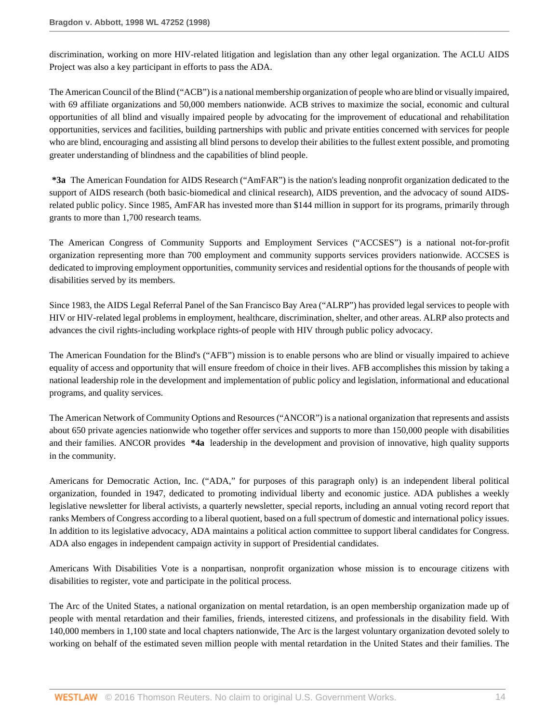discrimination, working on more HIV-related litigation and legislation than any other legal organization. The ACLU AIDS Project was also a key participant in efforts to pass the ADA.

The American Council of the Blind ("ACB") is a national membership organization of people who are blind or visually impaired, with 69 affiliate organizations and 50,000 members nationwide. ACB strives to maximize the social, economic and cultural opportunities of all blind and visually impaired people by advocating for the improvement of educational and rehabilitation opportunities, services and facilities, building partnerships with public and private entities concerned with services for people who are blind, encouraging and assisting all blind persons to develop their abilities to the fullest extent possible, and promoting greater understanding of blindness and the capabilities of blind people.

**\*3a** The American Foundation for AIDS Research ("AmFAR") is the nation's leading nonprofit organization dedicated to the support of AIDS research (both basic-biomedical and clinical research), AIDS prevention, and the advocacy of sound AIDSrelated public policy. Since 1985, AmFAR has invested more than \$144 million in support for its programs, primarily through grants to more than 1,700 research teams.

The American Congress of Community Supports and Employment Services ("ACCSES") is a national not-for-profit organization representing more than 700 employment and community supports services providers nationwide. ACCSES is dedicated to improving employment opportunities, community services and residential options for the thousands of people with disabilities served by its members.

Since 1983, the AIDS Legal Referral Panel of the San Francisco Bay Area ("ALRP") has provided legal services to people with HIV or HIV-related legal problems in employment, healthcare, discrimination, shelter, and other areas. ALRP also protects and advances the civil rights-including workplace rights-of people with HIV through public policy advocacy.

The American Foundation for the Blind's ("AFB") mission is to enable persons who are blind or visually impaired to achieve equality of access and opportunity that will ensure freedom of choice in their lives. AFB accomplishes this mission by taking a national leadership role in the development and implementation of public policy and legislation, informational and educational programs, and quality services.

The American Network of Community Options and Resources ("ANCOR") is a national organization that represents and assists about 650 private agencies nationwide who together offer services and supports to more than 150,000 people with disabilities and their families. ANCOR provides **\*4a** leadership in the development and provision of innovative, high quality supports in the community.

Americans for Democratic Action, Inc. ("ADA," for purposes of this paragraph only) is an independent liberal political organization, founded in 1947, dedicated to promoting individual liberty and economic justice. ADA publishes a weekly legislative newsletter for liberal activists, a quarterly newsletter, special reports, including an annual voting record report that ranks Members of Congress according to a liberal quotient, based on a full spectrum of domestic and international policy issues. In addition to its legislative advocacy, ADA maintains a political action committee to support liberal candidates for Congress. ADA also engages in independent campaign activity in support of Presidential candidates.

Americans With Disabilities Vote is a nonpartisan, nonprofit organization whose mission is to encourage citizens with disabilities to register, vote and participate in the political process.

The Arc of the United States, a national organization on mental retardation, is an open membership organization made up of people with mental retardation and their families, friends, interested citizens, and professionals in the disability field. With 140,000 members in 1,100 state and local chapters nationwide, The Arc is the largest voluntary organization devoted solely to working on behalf of the estimated seven million people with mental retardation in the United States and their families. The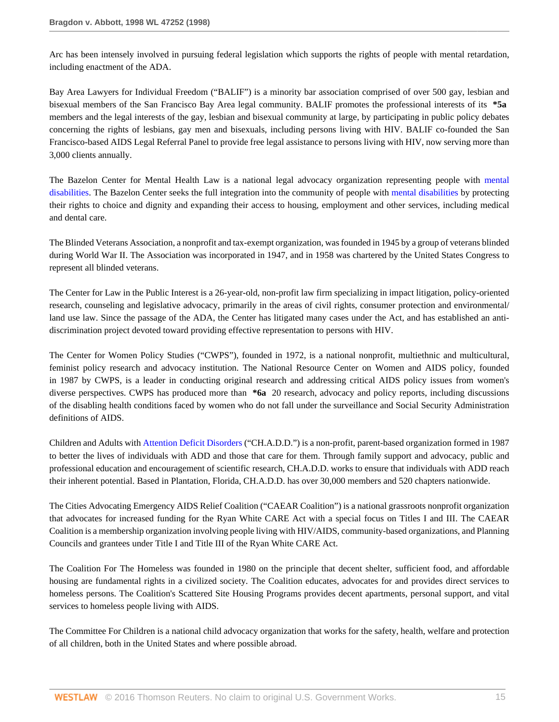Arc has been intensely involved in pursuing federal legislation which supports the rights of people with mental retardation, including enactment of the ADA.

Bay Area Lawyers for Individual Freedom ("BALIF") is a minority bar association comprised of over 500 gay, lesbian and bisexual members of the San Francisco Bay Area legal community. BALIF promotes the professional interests of its **\*5a** members and the legal interests of the gay, lesbian and bisexual community at large, by participating in public policy debates concerning the rights of lesbians, gay men and bisexuals, including persons living with HIV. BALIF co-founded the San Francisco-based AIDS Legal Referral Panel to provide free legal assistance to persons living with HIV, now serving more than 3,000 clients annually.

The Bazelon Center for Mental Health Law is a national legal advocacy organization representing people with [mental](http://www.westlaw.com/Link/Document/FullText?entityType=disease&entityId=Ic94ca545475411db9765f9243f53508a&originationContext=document&transitionType=DocumentItem&contextData=(sc.Default)&vr=3.0&rs=cblt1.0) [disabilities](http://www.westlaw.com/Link/Document/FullText?entityType=disease&entityId=Ic94ca545475411db9765f9243f53508a&originationContext=document&transitionType=DocumentItem&contextData=(sc.Default)&vr=3.0&rs=cblt1.0). The Bazelon Center seeks the full integration into the community of people with [mental disabilities](http://www.westlaw.com/Link/Document/FullText?entityType=disease&entityId=Ic94ca545475411db9765f9243f53508a&originationContext=document&transitionType=DocumentItem&contextData=(sc.Default)&vr=3.0&rs=cblt1.0) by protecting their rights to choice and dignity and expanding their access to housing, employment and other services, including medical and dental care.

The Blinded Veterans Association, a nonprofit and tax-exempt organization, was founded in 1945 by a group of veterans blinded during World War II. The Association was incorporated in 1947, and in 1958 was chartered by the United States Congress to represent all blinded veterans.

The Center for Law in the Public Interest is a 26-year-old, non-profit law firm specializing in impact litigation, policy-oriented research, counseling and legislative advocacy, primarily in the areas of civil rights, consumer protection and environmental/ land use law. Since the passage of the ADA, the Center has litigated many cases under the Act, and has established an antidiscrimination project devoted toward providing effective representation to persons with HIV.

The Center for Women Policy Studies ("CWPS"), founded in 1972, is a national nonprofit, multiethnic and multicultural, feminist policy research and advocacy institution. The National Resource Center on Women and AIDS policy, founded in 1987 by CWPS, is a leader in conducting original research and addressing critical AIDS policy issues from women's diverse perspectives. CWPS has produced more than **\*6a** 20 research, advocacy and policy reports, including discussions of the disabling health conditions faced by women who do not fall under the surveillance and Social Security Administration definitions of AIDS.

Children and Adults with [Attention Deficit Disorders](http://www.westlaw.com/Link/Document/FullText?entityType=disease&entityId=Ibe73b2f3475411db9765f9243f53508a&originationContext=document&transitionType=DocumentItem&contextData=(sc.Default)&vr=3.0&rs=cblt1.0) ("CH.A.D.D.") is a non-profit, parent-based organization formed in 1987 to better the lives of individuals with ADD and those that care for them. Through family support and advocacy, public and professional education and encouragement of scientific research, CH.A.D.D. works to ensure that individuals with ADD reach their inherent potential. Based in Plantation, Florida, CH.A.D.D. has over 30,000 members and 520 chapters nationwide.

The Cities Advocating Emergency AIDS Relief Coalition ("CAEAR Coalition") is a national grassroots nonprofit organization that advocates for increased funding for the Ryan White CARE Act with a special focus on Titles I and III. The CAEAR Coalition is a membership organization involving people living with HIV/AIDS, community-based organizations, and Planning Councils and grantees under Title I and Title III of the Ryan White CARE Act.

The Coalition For The Homeless was founded in 1980 on the principle that decent shelter, sufficient food, and affordable housing are fundamental rights in a civilized society. The Coalition educates, advocates for and provides direct services to homeless persons. The Coalition's Scattered Site Housing Programs provides decent apartments, personal support, and vital services to homeless people living with AIDS.

The Committee For Children is a national child advocacy organization that works for the safety, health, welfare and protection of all children, both in the United States and where possible abroad.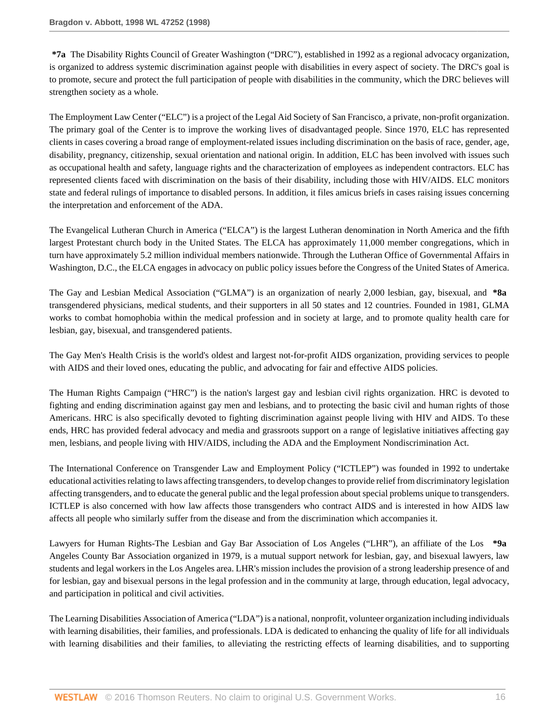**\*7a** The Disability Rights Council of Greater Washington ("DRC"), established in 1992 as a regional advocacy organization, is organized to address systemic discrimination against people with disabilities in every aspect of society. The DRC's goal is to promote, secure and protect the full participation of people with disabilities in the community, which the DRC believes will strengthen society as a whole.

The Employment Law Center ("ELC") is a project of the Legal Aid Society of San Francisco, a private, non-profit organization. The primary goal of the Center is to improve the working lives of disadvantaged people. Since 1970, ELC has represented clients in cases covering a broad range of employment-related issues including discrimination on the basis of race, gender, age, disability, pregnancy, citizenship, sexual orientation and national origin. In addition, ELC has been involved with issues such as occupational health and safety, language rights and the characterization of employees as independent contractors. ELC has represented clients faced with discrimination on the basis of their disability, including those with HIV/AIDS. ELC monitors state and federal rulings of importance to disabled persons. In addition, it files amicus briefs in cases raising issues concerning the interpretation and enforcement of the ADA.

The Evangelical Lutheran Church in America ("ELCA") is the largest Lutheran denomination in North America and the fifth largest Protestant church body in the United States. The ELCA has approximately 11,000 member congregations, which in turn have approximately 5.2 million individual members nationwide. Through the Lutheran Office of Governmental Affairs in Washington, D.C., the ELCA engages in advocacy on public policy issues before the Congress of the United States of America.

The Gay and Lesbian Medical Association ("GLMA") is an organization of nearly 2,000 lesbian, gay, bisexual, and **\*8a** transgendered physicians, medical students, and their supporters in all 50 states and 12 countries. Founded in 1981, GLMA works to combat homophobia within the medical profession and in society at large, and to promote quality health care for lesbian, gay, bisexual, and transgendered patients.

The Gay Men's Health Crisis is the world's oldest and largest not-for-profit AIDS organization, providing services to people with AIDS and their loved ones, educating the public, and advocating for fair and effective AIDS policies.

The Human Rights Campaign ("HRC") is the nation's largest gay and lesbian civil rights organization. HRC is devoted to fighting and ending discrimination against gay men and lesbians, and to protecting the basic civil and human rights of those Americans. HRC is also specifically devoted to fighting discrimination against people living with HIV and AIDS. To these ends, HRC has provided federal advocacy and media and grassroots support on a range of legislative initiatives affecting gay men, lesbians, and people living with HIV/AIDS, including the ADA and the Employment Nondiscrimination Act.

The International Conference on Transgender Law and Employment Policy ("ICTLEP") was founded in 1992 to undertake educational activities relating to laws affecting transgenders, to develop changes to provide relief from discriminatory legislation affecting transgenders, and to educate the general public and the legal profession about special problems unique to transgenders. ICTLEP is also concerned with how law affects those transgenders who contract AIDS and is interested in how AIDS law affects all people who similarly suffer from the disease and from the discrimination which accompanies it.

Lawyers for Human Rights-The Lesbian and Gay Bar Association of Los Angeles ("LHR"), an affiliate of the Los **\*9a** Angeles County Bar Association organized in 1979, is a mutual support network for lesbian, gay, and bisexual lawyers, law students and legal workers in the Los Angeles area. LHR's mission includes the provision of a strong leadership presence of and for lesbian, gay and bisexual persons in the legal profession and in the community at large, through education, legal advocacy, and participation in political and civil activities.

The Learning Disabilities Association of America ("LDA") is a national, nonprofit, volunteer organization including individuals with learning disabilities, their families, and professionals. LDA is dedicated to enhancing the quality of life for all individuals with learning disabilities and their families, to alleviating the restricting effects of learning disabilities, and to supporting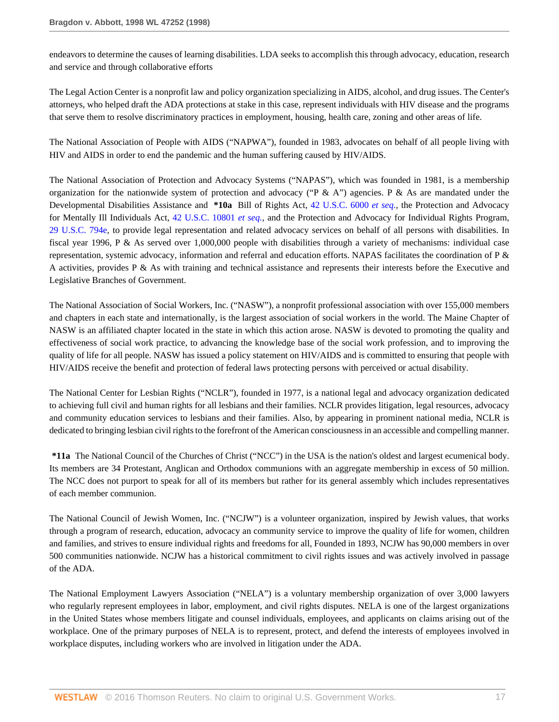endeavors to determine the causes of learning disabilities. LDA seeks to accomplish this through advocacy, education, research and service and through collaborative efforts

The Legal Action Center is a nonprofit law and policy organization specializing in AIDS, alcohol, and drug issues. The Center's attorneys, who helped draft the ADA protections at stake in this case, represent individuals with HIV disease and the programs that serve them to resolve discriminatory practices in employment, housing, health care, zoning and other areas of life.

The National Association of People with AIDS ("NAPWA"), founded in 1983, advocates on behalf of all people living with HIV and AIDS in order to end the pandemic and the human suffering caused by HIV/AIDS.

The National Association of Protection and Advocacy Systems ("NAPAS"), which was founded in 1981, is a membership organization for the nationwide system of protection and advocacy ("P & A") agencies. P & As are mandated under the Developmental Disabilities Assistance and **\*10a** Bill of Rights Act, [42 U.S.C. 6000](http://www.westlaw.com/Link/Document/FullText?findType=L&pubNum=1000546&cite=42USCAS6000&originatingDoc=Ie682b9d3482f11d9a5bfc0e3c4d1ea15&refType=LQ&originationContext=document&vr=3.0&rs=cblt1.0&transitionType=DocumentItem&contextData=(sc.RelatedInfo)) *et seq.,* the Protection and Advocacy for Mentally Ill Individuals Act, [42 U.S.C. 10801](http://www.westlaw.com/Link/Document/FullText?findType=L&pubNum=1000546&cite=42USCAS10801&originatingDoc=Ie682b9d3482f11d9a5bfc0e3c4d1ea15&refType=LQ&originationContext=document&vr=3.0&rs=cblt1.0&transitionType=DocumentItem&contextData=(sc.RelatedInfo)) *et seq.,* and the Protection and Advocacy for Individual Rights Program, [29 U.S.C. 794e](http://www.westlaw.com/Link/Document/FullText?findType=L&pubNum=1000546&cite=29USCAS794E&originatingDoc=Ie682b9d3482f11d9a5bfc0e3c4d1ea15&refType=LQ&originationContext=document&vr=3.0&rs=cblt1.0&transitionType=DocumentItem&contextData=(sc.RelatedInfo)), to provide legal representation and related advocacy services on behalf of all persons with disabilities. In fiscal year 1996, P & As served over 1,000,000 people with disabilities through a variety of mechanisms: individual case representation, systemic advocacy, information and referral and education efforts. NAPAS facilitates the coordination of P & A activities, provides P & As with training and technical assistance and represents their interests before the Executive and Legislative Branches of Government.

The National Association of Social Workers, Inc. ("NASW"), a nonprofit professional association with over 155,000 members and chapters in each state and internationally, is the largest association of social workers in the world. The Maine Chapter of NASW is an affiliated chapter located in the state in which this action arose. NASW is devoted to promoting the quality and effectiveness of social work practice, to advancing the knowledge base of the social work profession, and to improving the quality of life for all people. NASW has issued a policy statement on HIV/AIDS and is committed to ensuring that people with HIV/AIDS receive the benefit and protection of federal laws protecting persons with perceived or actual disability.

The National Center for Lesbian Rights ("NCLR"), founded in 1977, is a national legal and advocacy organization dedicated to achieving full civil and human rights for all lesbians and their families. NCLR provides litigation, legal resources, advocacy and community education services to lesbians and their families. Also, by appearing in prominent national media, NCLR is dedicated to bringing lesbian civil rights to the forefront of the American consciousness in an accessible and compelling manner.

**\*11a** The National Council of the Churches of Christ ("NCC") in the USA is the nation's oldest and largest ecumenical body. Its members are 34 Protestant, Anglican and Orthodox communions with an aggregate membership in excess of 50 million. The NCC does not purport to speak for all of its members but rather for its general assembly which includes representatives of each member communion.

The National Council of Jewish Women, Inc. ("NCJW") is a volunteer organization, inspired by Jewish values, that works through a program of research, education, advocacy an community service to improve the quality of life for women, children and families, and strives to ensure individual rights and freedoms for all, Founded in 1893, NCJW has 90,000 members in over 500 communities nationwide. NCJW has a historical commitment to civil rights issues and was actively involved in passage of the ADA.

The National Employment Lawyers Association ("NELA") is a voluntary membership organization of over 3,000 lawyers who regularly represent employees in labor, employment, and civil rights disputes. NELA is one of the largest organizations in the United States whose members litigate and counsel individuals, employees, and applicants on claims arising out of the workplace. One of the primary purposes of NELA is to represent, protect, and defend the interests of employees involved in workplace disputes, including workers who are involved in litigation under the ADA.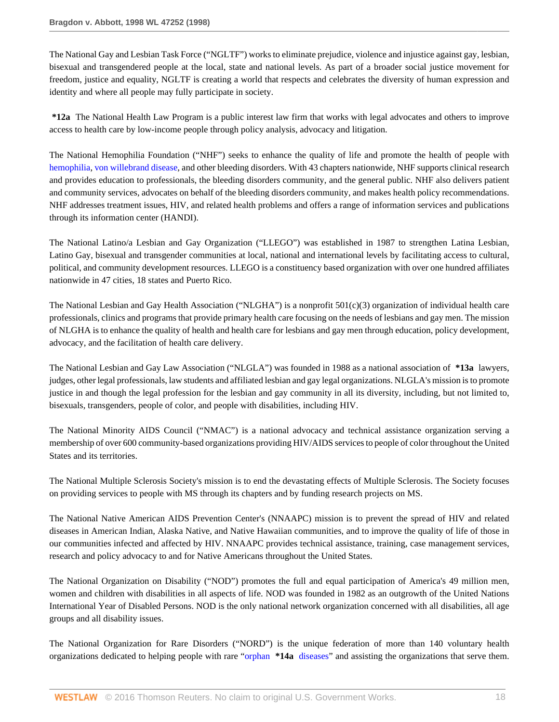The National Gay and Lesbian Task Force ("NGLTF") works to eliminate prejudice, violence and injustice against gay, lesbian, bisexual and transgendered people at the local, state and national levels. As part of a broader social justice movement for freedom, justice and equality, NGLTF is creating a world that respects and celebrates the diversity of human expression and identity and where all people may fully participate in society.

**\*12a** The National Health Law Program is a public interest law firm that works with legal advocates and others to improve access to health care by low-income people through policy analysis, advocacy and litigation.

The National Hemophilia Foundation ("NHF") seeks to enhance the quality of life and promote the health of people with [hemophilia](http://www.westlaw.com/Link/Document/FullText?entityType=disease&entityId=Ib521d5fd475411db9765f9243f53508a&originationContext=document&transitionType=DocumentItem&contextData=(sc.Default)&vr=3.0&rs=cblt1.0), [von willebrand disease,](http://www.westlaw.com/Link/Document/FullText?entityType=disease&entityId=Ib3eefb0d475411db9765f9243f53508a&originationContext=document&transitionType=DocumentItem&contextData=(sc.Default)&vr=3.0&rs=cblt1.0) and other bleeding disorders. With 43 chapters nationwide, NHF supports clinical research and provides education to professionals, the bleeding disorders community, and the general public. NHF also delivers patient and community services, advocates on behalf of the bleeding disorders community, and makes health policy recommendations. NHF addresses treatment issues, HIV, and related health problems and offers a range of information services and publications through its information center (HANDI).

The National Latino/a Lesbian and Gay Organization ("LLEGO") was established in 1987 to strengthen Latina Lesbian, Latino Gay, bisexual and transgender communities at local, national and international levels by facilitating access to cultural, political, and community development resources. LLEGO is a constituency based organization with over one hundred affiliates nationwide in 47 cities, 18 states and Puerto Rico.

The National Lesbian and Gay Health Association ("NLGHA") is a nonprofit 501(c)(3) organization of individual health care professionals, clinics and programs that provide primary health care focusing on the needs of lesbians and gay men. The mission of NLGHA is to enhance the quality of health and health care for lesbians and gay men through education, policy development, advocacy, and the facilitation of health care delivery.

The National Lesbian and Gay Law Association ("NLGLA") was founded in 1988 as a national association of **\*13a** lawyers, judges, other legal professionals, law students and affiliated lesbian and gay legal organizations. NLGLA's mission is to promote justice in and though the legal profession for the lesbian and gay community in all its diversity, including, but not limited to, bisexuals, transgenders, people of color, and people with disabilities, including HIV.

The National Minority AIDS Council ("NMAC") is a national advocacy and technical assistance organization serving a membership of over 600 community-based organizations providing HIV/AIDS services to people of color throughout the United States and its territories.

The National Multiple Sclerosis Society's mission is to end the devastating effects of Multiple Sclerosis. The Society focuses on providing services to people with MS through its chapters and by funding research projects on MS.

The National Native American AIDS Prevention Center's (NNAAPC) mission is to prevent the spread of HIV and related diseases in American Indian, Alaska Native, and Native Hawaiian communities, and to improve the quality of life of those in our communities infected and affected by HIV. NNAAPC provides technical assistance, training, case management services, research and policy advocacy to and for Native Americans throughout the United States.

The National Organization on Disability ("NOD") promotes the full and equal participation of America's 49 million men, women and children with disabilities in all aspects of life. NOD was founded in 1982 as an outgrowth of the United Nations International Year of Disabled Persons. NOD is the only national network organization concerned with all disabilities, all age groups and all disability issues.

The National Organization for Rare Disorders ("NORD") is the unique federation of more than 140 voluntary health organizations dedicated to helping people with rare "orphan **\*14a** [diseases](http://www.westlaw.com/Link/Document/FullText?entityType=disease&entityId=Ib778490a475411db9765f9243f53508a&originationContext=document&transitionType=DocumentItem&contextData=(sc.Default)&vr=3.0&rs=cblt1.0)" and assisting the organizations that serve them.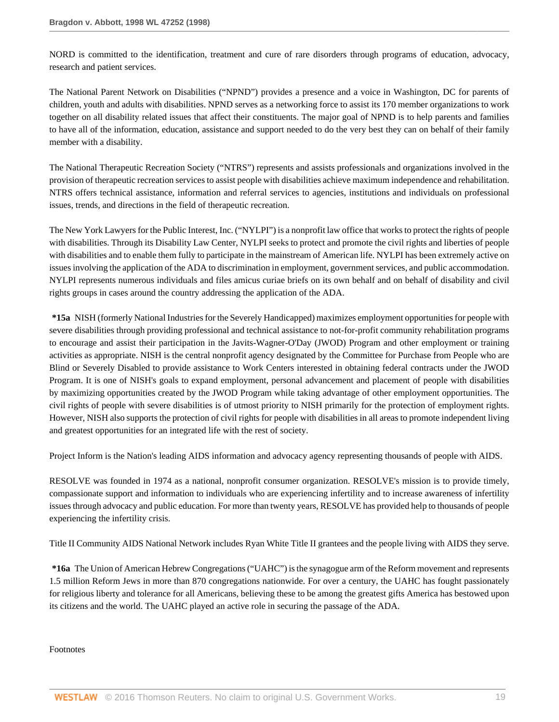NORD is committed to the identification, treatment and cure of rare disorders through programs of education, advocacy, research and patient services.

The National Parent Network on Disabilities ("NPND") provides a presence and a voice in Washington, DC for parents of children, youth and adults with disabilities. NPND serves as a networking force to assist its 170 member organizations to work together on all disability related issues that affect their constituents. The major goal of NPND is to help parents and families to have all of the information, education, assistance and support needed to do the very best they can on behalf of their family member with a disability.

The National Therapeutic Recreation Society ("NTRS") represents and assists professionals and organizations involved in the provision of therapeutic recreation services to assist people with disabilities achieve maximum independence and rehabilitation. NTRS offers technical assistance, information and referral services to agencies, institutions and individuals on professional issues, trends, and directions in the field of therapeutic recreation.

The New York Lawyers for the Public Interest, Inc. ("NYLPI") is a nonprofit law office that works to protect the rights of people with disabilities. Through its Disability Law Center, NYLPI seeks to protect and promote the civil rights and liberties of people with disabilities and to enable them fully to participate in the mainstream of American life. NYLPI has been extremely active on issues involving the application of the ADA to discrimination in employment, government services, and public accommodation. NYLPI represents numerous individuals and files amicus curiae briefs on its own behalf and on behalf of disability and civil rights groups in cases around the country addressing the application of the ADA.

**\*15a** NISH (formerly National Industries for the Severely Handicapped) maximizes employment opportunities for people with severe disabilities through providing professional and technical assistance to not-for-profit community rehabilitation programs to encourage and assist their participation in the Javits-Wagner-O'Day (JWOD) Program and other employment or training activities as appropriate. NISH is the central nonprofit agency designated by the Committee for Purchase from People who are Blind or Severely Disabled to provide assistance to Work Centers interested in obtaining federal contracts under the JWOD Program. It is one of NISH's goals to expand employment, personal advancement and placement of people with disabilities by maximizing opportunities created by the JWOD Program while taking advantage of other employment opportunities. The civil rights of people with severe disabilities is of utmost priority to NISH primarily for the protection of employment rights. However, NISH also supports the protection of civil rights for people with disabilities in all areas to promote independent living and greatest opportunities for an integrated life with the rest of society.

Project Inform is the Nation's leading AIDS information and advocacy agency representing thousands of people with AIDS.

RESOLVE was founded in 1974 as a national, nonprofit consumer organization. RESOLVE's mission is to provide timely, compassionate support and information to individuals who are experiencing infertility and to increase awareness of infertility issues through advocacy and public education. For more than twenty years, RESOLVE has provided help to thousands of people experiencing the infertility crisis.

Title II Community AIDS National Network includes Ryan White Title II grantees and the people living with AIDS they serve.

**\*16a** The Union of American Hebrew Congregations ("UAHC") is the synagogue arm of the Reform movement and represents 1.5 million Reform Jews in more than 870 congregations nationwide. For over a century, the UAHC has fought passionately for religious liberty and tolerance for all Americans, believing these to be among the greatest gifts America has bestowed upon its citizens and the world. The UAHC played an active role in securing the passage of the ADA.

Footnotes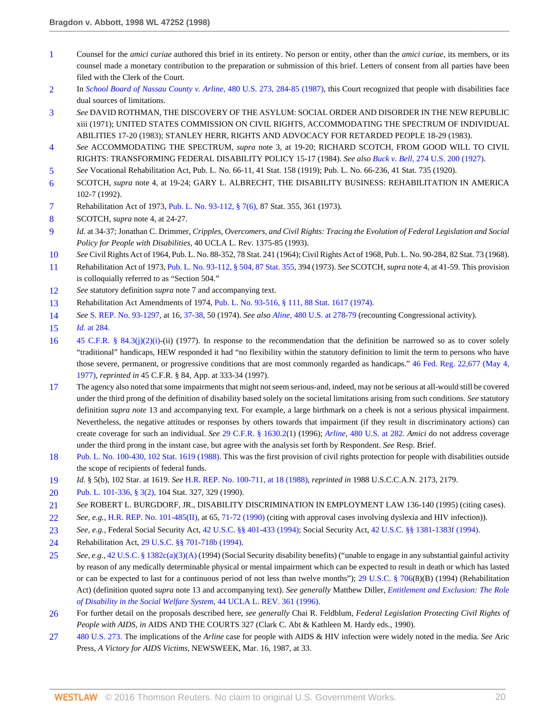- <span id="page-19-0"></span>[1](#page-4-0) Counsel for the *amici curiae* authored this brief in its entirety. No person or entity, other than the *amici curiae,* its members, or its counsel made a monetary contribution to the preparation or submission of this brief. Letters of consent from all parties have been filed with the Clerk of the Court.
- <span id="page-19-1"></span>[2](#page-6-0) In *[School Board of Nassau County v. Arline,](http://www.westlaw.com/Link/Document/FullText?findType=Y&serNum=1987026726&pubNum=780&originatingDoc=Ie682b9d3482f11d9a5bfc0e3c4d1ea15&refType=RP&fi=co_pp_sp_780_284&originationContext=document&vr=3.0&rs=cblt1.0&transitionType=DocumentItem&contextData=(sc.RelatedInfo)#co_pp_sp_780_284)* 480 U.S. 273, 284-85 (1987), this Court recognized that people with disabilities face dual sources of limitations.
- <span id="page-19-2"></span>[3](#page-6-1) *See* DAVID ROTHMAN, THE DISCOVERY OF THE ASYLUM: SOCIAL ORDER AND DISORDER IN THE NEW REPUBLIC xiii (1971); UNITED STATES COMMISSION ON CIVIL RIGHTS, ACCOMMODATING THE SPECTRUM OF INDIVIDUAL ABILITIES 17-20 (1983); STANLEY HERR, RIGHTS AND ADVOCACY FOR RETARDED PEOPLE 18-29 (1983).
- <span id="page-19-3"></span>[4](#page-6-2) *See* ACCOMMODATING THE SPECTRUM, *supra* note 3, at 19-20; RICHARD SCOTCH, FROM GOOD WILL TO CIVIL RIGHTS: TRANSFORMING FEDERAL DISABILITY POLICY 15-17 (1984). *See also Buck v. Bell,* [274 U.S. 200 \(1927\).](http://www.westlaw.com/Link/Document/FullText?findType=Y&serNum=1927123264&pubNum=780&originatingDoc=Ie682b9d3482f11d9a5bfc0e3c4d1ea15&refType=RP&originationContext=document&vr=3.0&rs=cblt1.0&transitionType=DocumentItem&contextData=(sc.RelatedInfo))
- <span id="page-19-4"></span>[5](#page-6-3) *See* Vocational Rehabilitation Act, Pub. L. No. 66-11, 41 Stat. 158 (1919); Pub. L. No. 66-236, 41 Stat. 735 (1920).
- <span id="page-19-5"></span>[6](#page-6-4) SCOTCH, *supra* note 4, at 19-24; GARY L. ALBRECHT, THE DISABILITY BUSINESS: REHABILITATION IN AMERICA 102-7 (1992).
- <span id="page-19-6"></span>[7](#page-6-5) Rehabilitation Act of 1973, [Pub. L. No. 93-112, § 7\(6\), 8](http://www.westlaw.com/Link/Document/FullText?findType=l&pubNum=1077005&cite=UUID(IDB8609A148-7643B0A3BF4-D0C79BCC4E9)&originatingDoc=Ie682b9d3482f11d9a5bfc0e3c4d1ea15&refType=SL&originationContext=document&vr=3.0&rs=cblt1.0&transitionType=DocumentItem&contextData=(sc.RelatedInfo))7 Stat. 355, 361 (1973).
- <span id="page-19-7"></span>[8](#page-6-6) SCOTCH, *supra* note 4, at 24-27.
- <span id="page-19-8"></span>[9](#page-6-7) *Id.* at 34-37; Jonathan C. Drimmer, *Cripples, Overcomers, and Civil Rights: Tracing the Evolution of Federal Legislation and Social Policy for People with Disabilities,* 40 UCLA L. Rev. 1375-85 (1993).
- <span id="page-19-9"></span>[10](#page-6-8) *See* Civil Rights Act of 1964, Pub. L. No. 88-352, 78 Stat. 241 (1964); Civil Rights Act of 1968, Pub. L. No. 90-284, 82 Stat. 73 (1968).
- <span id="page-19-10"></span>[11](#page-6-9) Rehabilitation Act of 1973, [Pub. L. No. 93-112, § 504, 87 Stat. 355](http://www.westlaw.com/Link/Document/FullText?findType=l&pubNum=1077005&cite=UUID(IDB8609A148-7643B0A3BF4-D0C79BCC4E9)&originatingDoc=Ie682b9d3482f11d9a5bfc0e3c4d1ea15&refType=SL&originationContext=document&vr=3.0&rs=cblt1.0&transitionType=DocumentItem&contextData=(sc.RelatedInfo)), 394 (1973). *See* SCOTCH, *supra* note 4, at 41-59. This provision is colloquially referred to as "Section 504."
- <span id="page-19-11"></span>[12](#page-6-10) *See* statutory definition *supra* note 7 and accompanying text.
- <span id="page-19-12"></span>[13](#page-7-0) Rehabilitation Act Amendments of 1974, [Pub. L. No. 93-516, § 111, 88 Stat. 1617 \(1974\).](http://www.westlaw.com/Link/Document/FullText?findType=l&pubNum=1077005&cite=UUID(I5475DC10D3-384B48B9968-9DE1D71A308)&originatingDoc=Ie682b9d3482f11d9a5bfc0e3c4d1ea15&refType=SL&originationContext=document&vr=3.0&rs=cblt1.0&transitionType=DocumentItem&contextData=(sc.RelatedInfo))
- <span id="page-19-13"></span>[14](#page-7-1) *See* [S. REP. No. 93-1297,](http://www.westlaw.com/Link/Document/FullText?findType=Y&serNum=0100747261&pubNum=0001503&originatingDoc=Ie682b9d3482f11d9a5bfc0e3c4d1ea15&refType=TV&originationContext=document&vr=3.0&rs=cblt1.0&transitionType=DocumentItem&contextData=(sc.RelatedInfo)) at 16, [37-38](http://www.westlaw.com/Link/Document/FullText?findType=Y&serNum=0100747261&pubNum=0001503&originatingDoc=Ie682b9d3482f11d9a5bfc0e3c4d1ea15&refType=TV&originationContext=document&vr=3.0&rs=cblt1.0&transitionType=DocumentItem&contextData=(sc.RelatedInfo)), 50 (1974). *See also Aline,* [480 U.S. at 278-79](http://www.westlaw.com/Link/Document/FullText?findType=Y&serNum=1987026726&pubNum=780&originatingDoc=Ie682b9d3482f11d9a5bfc0e3c4d1ea15&refType=RP&fi=co_pp_sp_780_278&originationContext=document&vr=3.0&rs=cblt1.0&transitionType=DocumentItem&contextData=(sc.RelatedInfo)#co_pp_sp_780_278) (recounting Congressional activity).
- <span id="page-19-14"></span>[15](#page-7-2) *Id.* [at 284.](http://www.westlaw.com/Link/Document/FullText?findType=Y&serNum=1987026726&originatingDoc=Ie682b9d3482f11d9a5bfc0e3c4d1ea15&refType=RP&originationContext=document&vr=3.0&rs=cblt1.0&transitionType=DocumentItem&contextData=(sc.RelatedInfo))
- <span id="page-19-15"></span>[16](#page-7-3) [45 C.F.R. § 84.3\(j\)\(2\)\(i\)-](http://www.westlaw.com/Link/Document/FullText?findType=L&pubNum=1000547&cite=45CFRS84.3&originatingDoc=Ie682b9d3482f11d9a5bfc0e3c4d1ea15&refType=RB&originationContext=document&vr=3.0&rs=cblt1.0&transitionType=DocumentItem&contextData=(sc.RelatedInfo)#co_pp_ca6600002d2d1)(ii) (1977). In response to the recommendation that the definition be narrowed so as to cover solely "traditional" handicaps, HEW responded it had "no flexibility within the statutory definition to limit the term to persons who have those severe, permanent, or progressive conditions that are most commonly regarded as handicaps." [46 Fed. Reg. 22,677 \(May 4,](http://www.westlaw.com/Link/Document/FullText?findType=Y&pubNum=1037&cite=46FR22677&originatingDoc=Ie682b9d3482f11d9a5bfc0e3c4d1ea15&refType=FR&fi=co_pp_sp_1037_22677&originationContext=document&vr=3.0&rs=cblt1.0&transitionType=DocumentItem&contextData=(sc.RelatedInfo)#co_pp_sp_1037_22677) [1977\),](http://www.westlaw.com/Link/Document/FullText?findType=Y&pubNum=1037&cite=46FR22677&originatingDoc=Ie682b9d3482f11d9a5bfc0e3c4d1ea15&refType=FR&fi=co_pp_sp_1037_22677&originationContext=document&vr=3.0&rs=cblt1.0&transitionType=DocumentItem&contextData=(sc.RelatedInfo)#co_pp_sp_1037_22677) *reprinted in* 45 C.F.R. § 84, App. at 333-34 (1997).
- <span id="page-19-16"></span>[17](#page-7-4) The agency also noted that some impairments that might not seem serious-and, indeed, may not be serious at all-would still be covered under the third prong of the definition of disability based solely on the societal limitations arising from such conditions. *See* statutory definition *supra note* 13 and accompanying text. For example, a large birthmark on a cheek is not a serious physical impairment. Nevertheless, the negative attitudes or responses by others towards that impairment (if they result in discriminatory actions) can create coverage for such an individual. *See* [29 C.F.R. § 1630.2\(](http://www.westlaw.com/Link/Document/FullText?findType=L&pubNum=1000547&cite=29CFRS1630.2&originatingDoc=Ie682b9d3482f11d9a5bfc0e3c4d1ea15&refType=LQ&originationContext=document&vr=3.0&rs=cblt1.0&transitionType=DocumentItem&contextData=(sc.RelatedInfo))1) (1996); *Arline,* [480 U.S. at 282.](http://www.westlaw.com/Link/Document/FullText?findType=Y&serNum=1987026726&pubNum=780&originatingDoc=Ie682b9d3482f11d9a5bfc0e3c4d1ea15&refType=RP&fi=co_pp_sp_780_282&originationContext=document&vr=3.0&rs=cblt1.0&transitionType=DocumentItem&contextData=(sc.RelatedInfo)#co_pp_sp_780_282) *Amici* do not address coverage under the third prong in the instant case, but agree with the analysis set forth by Respondent. *See* Resp. Brief.
- <span id="page-19-17"></span>[18](#page-7-5) [Pub. L. No. 100-430, 102 Stat. 1619 \(1988\).](http://www.westlaw.com/Link/Document/FullText?findType=l&pubNum=1077005&cite=UUID(I4BB44F642C-A44A6D9332F-52FE7F3D396)&originatingDoc=Ie682b9d3482f11d9a5bfc0e3c4d1ea15&refType=SL&originationContext=document&vr=3.0&rs=cblt1.0&transitionType=DocumentItem&contextData=(sc.RelatedInfo)) This was the first provision of civil rights protection for people with disabilities outside the scope of recipients of federal funds.
- <span id="page-19-18"></span>[19](#page-7-6) *Id.* § 5(b), 102 Star. at 1619. *See* [H.R. REP. No. 100-711, at 18 \(1988\)](http://www.westlaw.com/Link/Document/FullText?findType=Y&serNum=0100089014&pubNum=0100014&originatingDoc=Ie682b9d3482f11d9a5bfc0e3c4d1ea15&refType=TV&originationContext=document&vr=3.0&rs=cblt1.0&transitionType=DocumentItem&contextData=(sc.RelatedInfo)), *reprinted in* 1988 U.S.C.C.A.N. 2173, 2179.
- <span id="page-19-19"></span>[20](#page-7-7) [Pub. L. 101-336, § 3\(2\),](http://www.westlaw.com/Link/Document/FullText?findType=l&pubNum=1077005&cite=UUID(I32780C9C27-084FBFBC19F-10B93CEEC25)&originatingDoc=Ie682b9d3482f11d9a5bfc0e3c4d1ea15&refType=SL&originationContext=document&vr=3.0&rs=cblt1.0&transitionType=DocumentItem&contextData=(sc.RelatedInfo)) 104 Stat. 327, 329 (1990).
- <span id="page-19-20"></span>[21](#page-7-8) *See* ROBERT L. BURGDORF, JR., DISABILITY DISCRIMINATION IN EMPLOYMENT LAW 136-140 (1995) (citing cases).
- <span id="page-19-21"></span>[22](#page-7-9) *See, e.g.,* [H.R. REP. No. 101-485\(II\)](http://www.westlaw.com/Link/Document/FullText?findType=Y&pubNum=0100014&cite=HRREP101-485&originatingDoc=Ie682b9d3482f11d9a5bfc0e3c4d1ea15&refType=TV&originationContext=document&vr=3.0&rs=cblt1.0&transitionType=DocumentItem&contextData=(sc.RelatedInfo)), at 65, [71-72 \(1990\)](http://www.westlaw.com/Link/Document/FullText?findType=Y&pubNum=0100014&cite=HRREP71-72&originatingDoc=Ie682b9d3482f11d9a5bfc0e3c4d1ea15&refType=TV&originationContext=document&vr=3.0&rs=cblt1.0&transitionType=DocumentItem&contextData=(sc.RelatedInfo)) (citing with approval cases involving dyslexia and HIV infection)).
- <span id="page-19-22"></span>[23](#page-7-10) *See, e.g.,* Federal Social Security Act, [42 U.S.C. §§ 401-](http://www.westlaw.com/Link/Document/FullText?findType=L&pubNum=1000546&cite=42USCAS401&originatingDoc=Ie682b9d3482f11d9a5bfc0e3c4d1ea15&refType=LQ&originationContext=document&vr=3.0&rs=cblt1.0&transitionType=DocumentItem&contextData=(sc.RelatedInfo))[433 \(1994\)](http://www.westlaw.com/Link/Document/FullText?findType=L&pubNum=1000546&cite=42USCAS433&originatingDoc=Ie682b9d3482f11d9a5bfc0e3c4d1ea15&refType=LQ&originationContext=document&vr=3.0&rs=cblt1.0&transitionType=DocumentItem&contextData=(sc.RelatedInfo)); Social Security Act, [42 U.S.C. §§ 1381-](http://www.westlaw.com/Link/Document/FullText?findType=L&pubNum=1000546&cite=42USCAS1381&originatingDoc=Ie682b9d3482f11d9a5bfc0e3c4d1ea15&refType=LQ&originationContext=document&vr=3.0&rs=cblt1.0&transitionType=DocumentItem&contextData=(sc.RelatedInfo))[1383f \(1994\).](http://www.westlaw.com/Link/Document/FullText?findType=L&pubNum=1000546&cite=42USCAS1383F&originatingDoc=Ie682b9d3482f11d9a5bfc0e3c4d1ea15&refType=LQ&originationContext=document&vr=3.0&rs=cblt1.0&transitionType=DocumentItem&contextData=(sc.RelatedInfo))
- <span id="page-19-23"></span>[24](#page-7-11) Rehabilitation Act, [29 U.S.C. §§ 701](http://www.westlaw.com/Link/Document/FullText?findType=L&pubNum=1000546&cite=29USCAS701&originatingDoc=Ie682b9d3482f11d9a5bfc0e3c4d1ea15&refType=LQ&originationContext=document&vr=3.0&rs=cblt1.0&transitionType=DocumentItem&contextData=(sc.RelatedInfo))[-718b \(1994\)](http://www.westlaw.com/Link/Document/FullText?findType=L&pubNum=1000546&cite=29USCAS718B&originatingDoc=Ie682b9d3482f11d9a5bfc0e3c4d1ea15&refType=LQ&originationContext=document&vr=3.0&rs=cblt1.0&transitionType=DocumentItem&contextData=(sc.RelatedInfo)).
- <span id="page-19-24"></span>[25](#page-7-12) *See, e.g.,* [42 U.S.C. § 1382c\(a\)\(3\)\(A\)](http://www.westlaw.com/Link/Document/FullText?findType=L&pubNum=1000546&cite=42USCAS1382C&originatingDoc=Ie682b9d3482f11d9a5bfc0e3c4d1ea15&refType=RB&originationContext=document&vr=3.0&rs=cblt1.0&transitionType=DocumentItem&contextData=(sc.RelatedInfo)#co_pp_51d0000021cd6) (1994) (Social Security disability benefits) ("unable to engage in any substantial gainful activity by reason of any medically determinable physical or mental impairment which can be expected to result in death or which has lasted or can be expected to last for a continuous period of not less than twelve months"); [29 U.S.C. § 706](http://www.westlaw.com/Link/Document/FullText?findType=L&pubNum=1000546&cite=29USCAS706&originatingDoc=Ie682b9d3482f11d9a5bfc0e3c4d1ea15&refType=LQ&originationContext=document&vr=3.0&rs=cblt1.0&transitionType=DocumentItem&contextData=(sc.RelatedInfo))(8)(B) (1994) (Rehabilitation Act) (definition quoted *supra* note 13 and accompanying text). *See generally* Matthew Diller, *[Entitlement and Exclusion: The Role](http://www.westlaw.com/Link/Document/FullText?findType=Y&serNum=0107065063&pubNum=3041&originatingDoc=Ie682b9d3482f11d9a5bfc0e3c4d1ea15&refType=LR&originationContext=document&vr=3.0&rs=cblt1.0&transitionType=DocumentItem&contextData=(sc.RelatedInfo)) [of Disability in the Social Welfare System,](http://www.westlaw.com/Link/Document/FullText?findType=Y&serNum=0107065063&pubNum=3041&originatingDoc=Ie682b9d3482f11d9a5bfc0e3c4d1ea15&refType=LR&originationContext=document&vr=3.0&rs=cblt1.0&transitionType=DocumentItem&contextData=(sc.RelatedInfo))* 44 UCLA L. REV. 361 (1996).
- <span id="page-19-25"></span>[26](#page-7-13) For further detail on the proposals described here, *see generally* Chai R. Feldblum, *Federal Legislation Protecting Civil Rights of People with AIDS, in* AIDS AND THE COURTS 327 (Clark C. Abt & Kathleen M. Hardy eds., 1990).
- <span id="page-19-26"></span>[27](#page-8-0) [480 U.S. 273.](http://www.westlaw.com/Link/Document/FullText?findType=Y&serNum=1987026726&pubNum=780&originatingDoc=Ie682b9d3482f11d9a5bfc0e3c4d1ea15&refType=RP&originationContext=document&vr=3.0&rs=cblt1.0&transitionType=DocumentItem&contextData=(sc.RelatedInfo)) The implications of the *Arline* case for people with AIDS & HIV infection were widely noted in the media. *See* Aric Press, *A Victory for AIDS Victims,* NEWSWEEK, Mar. 16, 1987, at 33.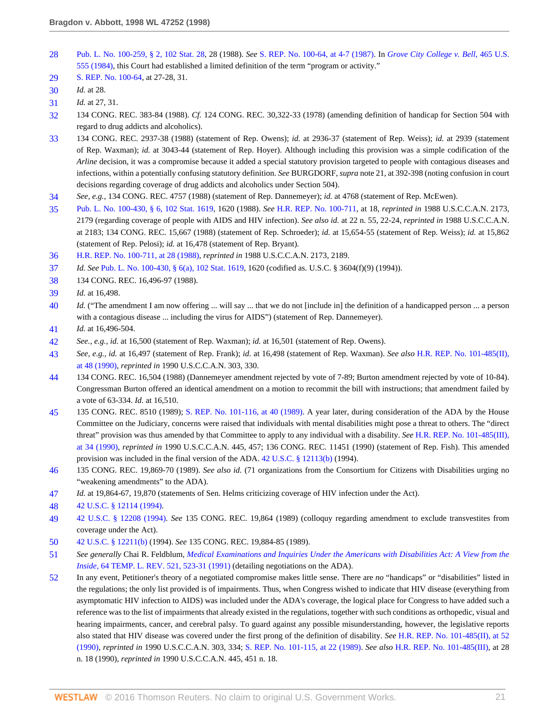- <span id="page-20-0"></span>[28](#page-8-1) [Pub. L. No. 100-259, § 2, 102 Stat. 28](http://www.westlaw.com/Link/Document/FullText?findType=l&pubNum=1077005&cite=UUID(I147EBD1102-C648629E98B-13D7B57618A)&originatingDoc=Ie682b9d3482f11d9a5bfc0e3c4d1ea15&refType=SL&originationContext=document&vr=3.0&rs=cblt1.0&transitionType=DocumentItem&contextData=(sc.RelatedInfo)), 28 (1988). *See* [S. REP. No. 100-64, at 4-7 \(1987\).](http://www.westlaw.com/Link/Document/FullText?findType=Y&serNum=0100088615&pubNum=0001503&originatingDoc=Ie682b9d3482f11d9a5bfc0e3c4d1ea15&refType=TV&originationContext=document&vr=3.0&rs=cblt1.0&transitionType=DocumentItem&contextData=(sc.RelatedInfo)) In *[Grove City College v. Bell,](http://www.westlaw.com/Link/Document/FullText?findType=Y&serNum=1984110000&pubNum=780&originatingDoc=Ie682b9d3482f11d9a5bfc0e3c4d1ea15&refType=RP&originationContext=document&vr=3.0&rs=cblt1.0&transitionType=DocumentItem&contextData=(sc.RelatedInfo))* 465 U.S. [555 \(1984\),](http://www.westlaw.com/Link/Document/FullText?findType=Y&serNum=1984110000&pubNum=780&originatingDoc=Ie682b9d3482f11d9a5bfc0e3c4d1ea15&refType=RP&originationContext=document&vr=3.0&rs=cblt1.0&transitionType=DocumentItem&contextData=(sc.RelatedInfo)) this Court had established a limited definition of the term "program or activity."
- <span id="page-20-1"></span>[29](#page-8-2) [S. REP. No. 100-64,](http://www.westlaw.com/Link/Document/FullText?findType=Y&serNum=0100088615&pubNum=0001503&originatingDoc=Ie682b9d3482f11d9a5bfc0e3c4d1ea15&refType=TV&originationContext=document&vr=3.0&rs=cblt1.0&transitionType=DocumentItem&contextData=(sc.RelatedInfo)) at 27-28, 31.
- <span id="page-20-2"></span>[30](#page-8-3) *Id.* at 28.
- <span id="page-20-3"></span>[31](#page-8-4) *Id.* at 27, 31.
- <span id="page-20-4"></span>[32](#page-8-5) 134 CONG. REC. 383-84 (1988). *Cf.* 124 CONG. REC. 30,322-33 (1978) (amending definition of handicap for Section 504 with regard to drug addicts and alcoholics).
- <span id="page-20-5"></span>[33](#page-8-6) 134 CONG. REC. 2937-38 (1988) (statement of Rep. Owens); *id.* at 2936-37 (statement of Rep. Weiss); *id.* at 2939 (statement of Rep. Waxman); *id.* at 3043-44 (statement of Rep. Hoyer). Although including this provision was a simple codification of the *Arline* decision, it was a compromise because it added a special statutory provision targeted to people with contagious diseases and infections, within a potentially confusing statutory definition. *See* BURGDORF, *supra* note 21, at 392-398 (noting confusion in court decisions regarding coverage of drug addicts and alcoholics under Section 504).
- <span id="page-20-6"></span>[34](#page-8-7) *See, e.g.,* 134 CONG. REC. 4757 (1988) (statement of Rep. Dannemeyer); *id.* at 4768 (statement of Rep. McEwen).
- <span id="page-20-7"></span>[35](#page-8-8) [Pub. L. No. 100-430, § 6, 102 Stat. 1619,](http://www.westlaw.com/Link/Document/FullText?findType=l&pubNum=1077005&cite=UUID(I4BB44F642C-A44A6D9332F-52FE7F3D396)&originatingDoc=Ie682b9d3482f11d9a5bfc0e3c4d1ea15&refType=SL&originationContext=document&vr=3.0&rs=cblt1.0&transitionType=DocumentItem&contextData=(sc.RelatedInfo)) 1620 (1988). *See* [H.R. REP. No. 100-711,](http://www.westlaw.com/Link/Document/FullText?findType=Y&serNum=0100089014&pubNum=0100014&originatingDoc=Ie682b9d3482f11d9a5bfc0e3c4d1ea15&refType=TV&originationContext=document&vr=3.0&rs=cblt1.0&transitionType=DocumentItem&contextData=(sc.RelatedInfo)) at 18, *reprinted in* 1988 U.S.C.C.A.N. 2173, 2179 (regarding coverage of people with AIDS and HIV infection). *See also id.* at 22 n. 55, 22-24, *reprinted in* 1988 U.S.C.C.A.N. at 2183; 134 CONG. REC. 15,667 (1988) (statement of Rep. Schroeder); *id.* at 15,654-55 (statement of Rep. Weiss); *id.* at 15,862 (statement of Rep. Pelosi); *id.* at 16,478 (statement of Rep. Bryant).
- <span id="page-20-8"></span>[36](#page-8-9) [H.R. REP. No. 100-711, at 28 \(1988\)](http://www.westlaw.com/Link/Document/FullText?findType=Y&serNum=0100089014&pubNum=0100014&originatingDoc=Ie682b9d3482f11d9a5bfc0e3c4d1ea15&refType=TV&originationContext=document&vr=3.0&rs=cblt1.0&transitionType=DocumentItem&contextData=(sc.RelatedInfo)), *reprinted in* 1988 U.S.C.C.A.N. 2173, 2189.
- <span id="page-20-9"></span>[37](#page-8-10) *Id. See* [Pub. L. No. 100-430, § 6\(a\), 102 Stat. 1619](http://www.westlaw.com/Link/Document/FullText?findType=l&pubNum=1077005&cite=UUID(I4BB44F642C-A44A6D9332F-52FE7F3D396)&originatingDoc=Ie682b9d3482f11d9a5bfc0e3c4d1ea15&refType=SL&originationContext=document&vr=3.0&rs=cblt1.0&transitionType=DocumentItem&contextData=(sc.RelatedInfo)), 1620 (codified as. U.S.C. § 3604(f)(9) (1994)).
- <span id="page-20-10"></span>[38](#page-8-11) 134 CONG. REC. 16,496-97 (1988).
- <span id="page-20-11"></span>[39](#page-8-12) *Id.* at 16,498.
- <span id="page-20-12"></span>[40](#page-8-13) *Id.* ("The amendment I am now offering ... will say ... that we do not [include in] the definition of a handicapped person ... a person with a contagious disease ... including the virus for AIDS") (statement of Rep. Dannemeyer).
- <span id="page-20-13"></span>[41](#page-8-14) *Id.* at 16,496-504.
- <span id="page-20-14"></span>[42](#page-8-15) *See., e.g., id.* at 16,500 (statement of Rep. Waxman); *id.* at 16,501 (statement of Rep. Owens).
- <span id="page-20-15"></span>[43](#page-8-16) *See, e.g., id.* at 16,497 (statement of Rep. Frank); *id.* at 16,498 (statement of Rep. Waxman). *See also* [H.R. REP. No. 101-485\(II\),](http://www.westlaw.com/Link/Document/FullText?findType=Y&pubNum=0100014&cite=HRREP101-485&originatingDoc=Ie682b9d3482f11d9a5bfc0e3c4d1ea15&refType=TV&originationContext=document&vr=3.0&rs=cblt1.0&transitionType=DocumentItem&contextData=(sc.RelatedInfo)) [at 48 \(1990\),](http://www.westlaw.com/Link/Document/FullText?findType=Y&pubNum=0100014&cite=HRREP101-485&originatingDoc=Ie682b9d3482f11d9a5bfc0e3c4d1ea15&refType=TV&originationContext=document&vr=3.0&rs=cblt1.0&transitionType=DocumentItem&contextData=(sc.RelatedInfo)) *reprinted in* 1990 U.S.C.C.A.N. 303, 330.
- <span id="page-20-16"></span>[44](#page-8-17) 134 CONG. REC. 16,504 (1988) (Dannemeyer amendment rejected by vote of 7-89; Burton amendment rejected by vote of 10-84). Congressman Burton offered an identical amendment on a motion to recommit the bill with instructions; that amendment failed by a vote of 63-334. *Id.* at 16,510.
- <span id="page-20-17"></span>[45](#page-9-0) 135 CONG. REC. 8510 (1989); [S. REP. No. 101-116, at 40 \(1989\).](http://www.westlaw.com/Link/Document/FullText?findType=Y&pubNum=0001503&cite=SREP101-116&originatingDoc=Ie682b9d3482f11d9a5bfc0e3c4d1ea15&refType=TV&originationContext=document&vr=3.0&rs=cblt1.0&transitionType=DocumentItem&contextData=(sc.RelatedInfo)) A year later, during consideration of the ADA by the House Committee on the Judiciary, concerns were raised that individuals with mental disabilities might pose a threat to others. The "direct threat" provision was thus amended by that Committee to apply to any individual with a disability. *See* [H.R. REP. No. 101-485\(III\),](http://www.westlaw.com/Link/Document/FullText?findType=Y&pubNum=0100014&cite=HRREP101-485&originatingDoc=Ie682b9d3482f11d9a5bfc0e3c4d1ea15&refType=TV&originationContext=document&vr=3.0&rs=cblt1.0&transitionType=DocumentItem&contextData=(sc.RelatedInfo)) [at 34 \(1990\)](http://www.westlaw.com/Link/Document/FullText?findType=Y&pubNum=0100014&cite=HRREP101-485&originatingDoc=Ie682b9d3482f11d9a5bfc0e3c4d1ea15&refType=TV&originationContext=document&vr=3.0&rs=cblt1.0&transitionType=DocumentItem&contextData=(sc.RelatedInfo)), *reprinted in* 1990 U.S.C.C.A.N. 445, 457; 136 CONG. REC. 11451 (1990) (statement of Rep. Fish). This amended provision was included in the final version of the ADA. [42 U.S.C. § 12113\(b\)](http://www.westlaw.com/Link/Document/FullText?findType=L&pubNum=1000546&cite=42USCAS12113&originatingDoc=Ie682b9d3482f11d9a5bfc0e3c4d1ea15&refType=RB&originationContext=document&vr=3.0&rs=cblt1.0&transitionType=DocumentItem&contextData=(sc.RelatedInfo)#co_pp_a83b000018c76) (1994).
- <span id="page-20-18"></span>[46](#page-9-1) 135 CONG. REC. 19,869-70 (1989). *See also id.* (71 organizations from the Consortium for Citizens with Disabilities urging no "weakening amendments" to the ADA).
- <span id="page-20-19"></span>[47](#page-9-2) *Id.* at 19,864-67, 19,870 (statements of Sen. Helms criticizing coverage of HIV infection under the Act).
- <span id="page-20-20"></span>[48](#page-9-3) [42 U.S.C. § 12114 \(1994\)](http://www.westlaw.com/Link/Document/FullText?findType=L&pubNum=1000546&cite=42USCAS12114&originatingDoc=Ie682b9d3482f11d9a5bfc0e3c4d1ea15&refType=LQ&originationContext=document&vr=3.0&rs=cblt1.0&transitionType=DocumentItem&contextData=(sc.RelatedInfo)).
- <span id="page-20-21"></span>[49](#page-9-4) [42 U.S.C. § 12208 \(1994\).](http://www.westlaw.com/Link/Document/FullText?findType=L&pubNum=1000546&cite=42USCAS12208&originatingDoc=Ie682b9d3482f11d9a5bfc0e3c4d1ea15&refType=LQ&originationContext=document&vr=3.0&rs=cblt1.0&transitionType=DocumentItem&contextData=(sc.RelatedInfo)) *See* 135 CONG. REC. 19,864 (1989) (colloquy regarding amendment to exclude transvestites from coverage under the Act).
- <span id="page-20-22"></span>[50](#page-9-5) [42 U.S.C. § 12211\(b\)](http://www.westlaw.com/Link/Document/FullText?findType=L&pubNum=1000546&cite=42USCAS12211&originatingDoc=Ie682b9d3482f11d9a5bfc0e3c4d1ea15&refType=RB&originationContext=document&vr=3.0&rs=cblt1.0&transitionType=DocumentItem&contextData=(sc.RelatedInfo)#co_pp_a83b000018c76) (1994). *See* 135 CONG. REC. 19,884-85 (1989).
- <span id="page-20-23"></span>[51](#page-9-6) *See generally* Chai R. Feldblum, *[Medical Examinations and Inquiries Under the Americans with Disabilities Act: A View from the](http://www.westlaw.com/Link/Document/FullText?findType=Y&serNum=0101096636&pubNum=1566&originatingDoc=Ie682b9d3482f11d9a5bfc0e3c4d1ea15&refType=LR&fi=co_pp_sp_1566_523&originationContext=document&vr=3.0&rs=cblt1.0&transitionType=DocumentItem&contextData=(sc.RelatedInfo)#co_pp_sp_1566_523) Inside,* [64 TEMP. L. REV. 521, 523-31 \(1991\)](http://www.westlaw.com/Link/Document/FullText?findType=Y&serNum=0101096636&pubNum=1566&originatingDoc=Ie682b9d3482f11d9a5bfc0e3c4d1ea15&refType=LR&fi=co_pp_sp_1566_523&originationContext=document&vr=3.0&rs=cblt1.0&transitionType=DocumentItem&contextData=(sc.RelatedInfo)#co_pp_sp_1566_523) (detailing negotiations on the ADA).
- <span id="page-20-24"></span>[52](#page-9-7) In any event, Petitioner's theory of a negotiated compromise makes little sense. There are *no* "handicaps" or "disabilities" listed in the regulations; the only list provided is of impairments. Thus, when Congress wished to indicate that HIV disease (everything from asymptomatic HIV infection to AIDS) was included under the ADA's coverage, the logical place for Congress to have added such a reference was to the list of impairments that already existed in the regulations, together with such conditions as orthopedic, visual and hearing impairments, cancer, and cerebral palsy. To guard against any possible misunderstanding, however, the legislative reports also stated that HIV disease was covered under the first prong of the definition of disability. *See* [H.R. REP. No. 101-485\(II\), at 52](http://www.westlaw.com/Link/Document/FullText?findType=Y&pubNum=0100014&cite=HRREP101-485&originatingDoc=Ie682b9d3482f11d9a5bfc0e3c4d1ea15&refType=TV&originationContext=document&vr=3.0&rs=cblt1.0&transitionType=DocumentItem&contextData=(sc.RelatedInfo)) [\(1990\),](http://www.westlaw.com/Link/Document/FullText?findType=Y&pubNum=0100014&cite=HRREP101-485&originatingDoc=Ie682b9d3482f11d9a5bfc0e3c4d1ea15&refType=TV&originationContext=document&vr=3.0&rs=cblt1.0&transitionType=DocumentItem&contextData=(sc.RelatedInfo)) *reprinted in* 1990 U.S.C.C.A.N. 303, 334; [S. REP. No. 101-115, at 22 \(1989\).](http://www.westlaw.com/Link/Document/FullText?findType=Y&pubNum=0001503&cite=SREP101-115&originatingDoc=Ie682b9d3482f11d9a5bfc0e3c4d1ea15&refType=TV&originationContext=document&vr=3.0&rs=cblt1.0&transitionType=DocumentItem&contextData=(sc.RelatedInfo)) *See also* [H.R. REP. No. 101-485\(III\)](http://www.westlaw.com/Link/Document/FullText?findType=Y&pubNum=0100014&cite=HRREP101-485&originatingDoc=Ie682b9d3482f11d9a5bfc0e3c4d1ea15&refType=TV&originationContext=document&vr=3.0&rs=cblt1.0&transitionType=DocumentItem&contextData=(sc.RelatedInfo)), at 28 n. 18 (1990), *reprinted in* 1990 U.S.C.C.A.N. 445, 451 n. 18.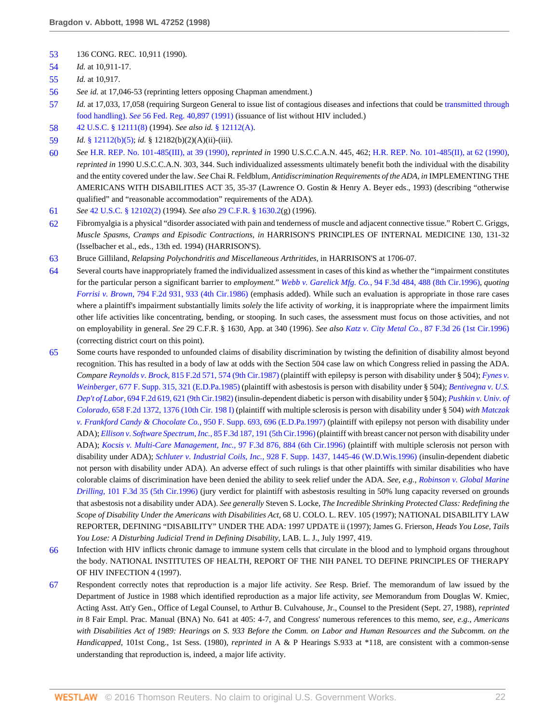- <span id="page-21-0"></span>[53](#page-9-8) 136 CONG. REC. 10,911 (1990).
- <span id="page-21-1"></span>[54](#page-9-9) *Id.* at 10,911-17.
- <span id="page-21-2"></span>[55](#page-9-10) *Id.* at 10,917.
- <span id="page-21-3"></span>[56](#page-9-11) *See id.* at 17,046-53 (reprinting letters opposing Chapman amendment.)
- <span id="page-21-4"></span>[57](#page-9-12) *Id.* at 17,033, 17,058 (requiring Surgeon General to issue list of contagious diseases and infections that could be [transmitted through](http://www.westlaw.com/Link/Document/FullText?findType=Y&serNum=0100738667&pubNum=1037&originatingDoc=Ie682b9d3482f11d9a5bfc0e3c4d1ea15&refType=FR&fi=co_pp_sp_1037_40897&originationContext=document&vr=3.0&rs=cblt1.0&transitionType=DocumentItem&contextData=(sc.RelatedInfo)#co_pp_sp_1037_40897) food handling). *See* [56 Fed. Reg. 40,897 \(1991\)](http://www.westlaw.com/Link/Document/FullText?findType=Y&serNum=0100738667&pubNum=1037&originatingDoc=Ie682b9d3482f11d9a5bfc0e3c4d1ea15&refType=FR&fi=co_pp_sp_1037_40897&originationContext=document&vr=3.0&rs=cblt1.0&transitionType=DocumentItem&contextData=(sc.RelatedInfo)#co_pp_sp_1037_40897) (issuance of list without HIV included.)
- <span id="page-21-5"></span>[58](#page-10-0) [42 U.S.C. § 12111\(8\)](http://www.westlaw.com/Link/Document/FullText?findType=L&pubNum=1000546&cite=42USCAS12111&originatingDoc=Ie682b9d3482f11d9a5bfc0e3c4d1ea15&refType=RB&originationContext=document&vr=3.0&rs=cblt1.0&transitionType=DocumentItem&contextData=(sc.RelatedInfo)#co_pp_23450000ab4d2) (1994). *See also id.* [§ 12112\(A\)](http://www.westlaw.com/Link/Document/FullText?findType=L&pubNum=1000546&cite=42USCAS12112&originatingDoc=Ie682b9d3482f11d9a5bfc0e3c4d1ea15&refType=LQ&originationContext=document&vr=3.0&rs=cblt1.0&transitionType=DocumentItem&contextData=(sc.RelatedInfo)).
- <span id="page-21-6"></span>[59](#page-10-1) *Id.* [§ 12112\(b\)\(5\)](http://www.westlaw.com/Link/Document/FullText?findType=L&pubNum=1000546&cite=42USCAS12112&originatingDoc=Ie682b9d3482f11d9a5bfc0e3c4d1ea15&refType=LQ&originationContext=document&vr=3.0&rs=cblt1.0&transitionType=DocumentItem&contextData=(sc.RelatedInfo)); *id.* § 12182(b)(2)(A)(ii)-(iii).
- <span id="page-21-7"></span>[60](#page-10-2) *See* [H.R. REP. No. 101-485\(III\), at 39 \(1990\)](http://www.westlaw.com/Link/Document/FullText?findType=Y&pubNum=0100014&cite=HRREP101-485&originatingDoc=Ie682b9d3482f11d9a5bfc0e3c4d1ea15&refType=TV&originationContext=document&vr=3.0&rs=cblt1.0&transitionType=DocumentItem&contextData=(sc.RelatedInfo)), *reprinted in* 1990 U.S.C.C.A.N. 445, 462; [H.R. REP. No. 101-485\(II\), at 62 \(1990\),](http://www.westlaw.com/Link/Document/FullText?findType=Y&pubNum=0100014&cite=HRREP101-485&originatingDoc=Ie682b9d3482f11d9a5bfc0e3c4d1ea15&refType=TV&originationContext=document&vr=3.0&rs=cblt1.0&transitionType=DocumentItem&contextData=(sc.RelatedInfo)) *reprinted in* 1990 U.S.C.C.A.N. 303, 344. Such individualized assessments ultimately benefit both the individual with the disability and the entity covered under the law. *See* Chai R. Feldblum, *Antidiscrimination Requirements of the ADA, in* IMPLEMENTING THE AMERICANS WITH DISABILITIES ACT 35, 35-37 (Lawrence O. Gostin & Henry A. Beyer eds., 1993) (describing "otherwise qualified" and "reasonable accommodation" requirements of the ADA).
- <span id="page-21-8"></span>[61](#page-10-3) *See* [42 U.S.C. § 12102\(2\)](http://www.westlaw.com/Link/Document/FullText?findType=L&pubNum=1000546&cite=42USCAS12102&originatingDoc=Ie682b9d3482f11d9a5bfc0e3c4d1ea15&refType=RB&originationContext=document&vr=3.0&rs=cblt1.0&transitionType=DocumentItem&contextData=(sc.RelatedInfo)#co_pp_58730000872b1) (1994). *See also* [29 C.F.R. § 1630.2\(](http://www.westlaw.com/Link/Document/FullText?findType=L&pubNum=1000547&cite=29CFRS1630.2&originatingDoc=Ie682b9d3482f11d9a5bfc0e3c4d1ea15&refType=LQ&originationContext=document&vr=3.0&rs=cblt1.0&transitionType=DocumentItem&contextData=(sc.RelatedInfo))g) (1996).
- <span id="page-21-9"></span>[62](#page-10-4) Fibromyalgia is a physical "disorder associated with pain and tenderness of muscle and adjacent connective tissue." Robert C. Griggs, *Muscle Spasms, Cramps and Episodic Contractions, in* HARRISON'S PRINCIPLES OF INTERNAL MEDICINE 130, 131-32 (Isselbacher et al., eds., 13th ed. 1994) (HARRISON'S).
- <span id="page-21-10"></span>[63](#page-10-5) Bruce Gilliland, *Relapsing Polychondritis and Miscellaneous Arthritides,* in HARRISON'S at 1706-07.
- <span id="page-21-11"></span>[64](#page-10-6) Several courts have inappropriately framed the individualized assessment in cases of this kind as whether the "impairment constitutes for the particular person a significant barrier to *employment.*" *Webb v. Garelick Mfg. Co.,* [94 F.3d 484, 488 \(8th Cir.1996\),](http://www.westlaw.com/Link/Document/FullText?findType=Y&serNum=1996199910&pubNum=506&originatingDoc=Ie682b9d3482f11d9a5bfc0e3c4d1ea15&refType=RP&fi=co_pp_sp_506_488&originationContext=document&vr=3.0&rs=cblt1.0&transitionType=DocumentItem&contextData=(sc.RelatedInfo)#co_pp_sp_506_488) *quoting Forrisi v. Brown,* [794 F.2d 931, 933 \(4th Cir.1986\)](http://www.westlaw.com/Link/Document/FullText?findType=Y&serNum=1986132877&pubNum=350&originatingDoc=Ie682b9d3482f11d9a5bfc0e3c4d1ea15&refType=RP&fi=co_pp_sp_350_933&originationContext=document&vr=3.0&rs=cblt1.0&transitionType=DocumentItem&contextData=(sc.RelatedInfo)#co_pp_sp_350_933) (emphasis added). While such an evaluation is appropriate in those rare cases where a plaintiff's impairment substantially limits *solely* the life activity of *working,* it is inappropriate where the impairment limits other life activities like concentrating, bending, or stooping. In such cases, the assessment must focus on those activities, and not on employability in general. *See* 29 C.F.R. § 1630, App. at 340 (1996). *See also Katz v. City Metal Co.,* [87 F.3d 26 \(1st Cir.1996\)](http://www.westlaw.com/Link/Document/FullText?findType=Y&serNum=1996144796&pubNum=506&originatingDoc=Ie682b9d3482f11d9a5bfc0e3c4d1ea15&refType=RP&originationContext=document&vr=3.0&rs=cblt1.0&transitionType=DocumentItem&contextData=(sc.RelatedInfo)) (correcting district court on this point).
- <span id="page-21-12"></span>[65](#page-10-7) Some courts have responded to unfounded claims of disability discrimination by twisting the definition of disability almost beyond recognition. This has resulted in a body of law at odds with the Section 504 case law on which Congress relied in passing the ADA. *Compare Reynolds v. Brock,* [815 F.2d 571, 574 \(9th Cir.1987\)](http://www.westlaw.com/Link/Document/FullText?findType=Y&serNum=1987050900&pubNum=350&originatingDoc=Ie682b9d3482f11d9a5bfc0e3c4d1ea15&refType=RP&fi=co_pp_sp_350_574&originationContext=document&vr=3.0&rs=cblt1.0&transitionType=DocumentItem&contextData=(sc.RelatedInfo)#co_pp_sp_350_574) (plaintiff with epilepsy is person with disability under § 504); *[Fynes v.](http://www.westlaw.com/Link/Document/FullText?findType=Y&serNum=1988013872&pubNum=345&originatingDoc=Ie682b9d3482f11d9a5bfc0e3c4d1ea15&refType=RP&fi=co_pp_sp_345_321&originationContext=document&vr=3.0&rs=cblt1.0&transitionType=DocumentItem&contextData=(sc.RelatedInfo)#co_pp_sp_345_321) Weinberger,* [677 F. Supp. 315, 321 \(E.D.Pa.1985\)](http://www.westlaw.com/Link/Document/FullText?findType=Y&serNum=1988013872&pubNum=345&originatingDoc=Ie682b9d3482f11d9a5bfc0e3c4d1ea15&refType=RP&fi=co_pp_sp_345_321&originationContext=document&vr=3.0&rs=cblt1.0&transitionType=DocumentItem&contextData=(sc.RelatedInfo)#co_pp_sp_345_321) (plaintiff with asbestosis is person with disability under § 504); *[Bentivegna v. U.S.](http://www.westlaw.com/Link/Document/FullText?findType=Y&serNum=1982153722&pubNum=350&originatingDoc=Ie682b9d3482f11d9a5bfc0e3c4d1ea15&refType=RP&fi=co_pp_sp_350_621&originationContext=document&vr=3.0&rs=cblt1.0&transitionType=DocumentItem&contextData=(sc.RelatedInfo)#co_pp_sp_350_621) Dep't of Labor,* [694 F.2d 619, 621 \(9th Cir.1982\)](http://www.westlaw.com/Link/Document/FullText?findType=Y&serNum=1982153722&pubNum=350&originatingDoc=Ie682b9d3482f11d9a5bfc0e3c4d1ea15&refType=RP&fi=co_pp_sp_350_621&originationContext=document&vr=3.0&rs=cblt1.0&transitionType=DocumentItem&contextData=(sc.RelatedInfo)#co_pp_sp_350_621) (insulin-dependent diabetic is person with disability under § 504); *[Pushkin v. Univ. of](http://www.westlaw.com/Link/Document/FullText?findType=Y&serNum=1981137895&pubNum=350&originatingDoc=Ie682b9d3482f11d9a5bfc0e3c4d1ea15&refType=RP&fi=co_pp_sp_350_1376&originationContext=document&vr=3.0&rs=cblt1.0&transitionType=DocumentItem&contextData=(sc.RelatedInfo)#co_pp_sp_350_1376) Colorado,* [658 F.2d 1372, 1376 \(10th Cir. 198 I\)](http://www.westlaw.com/Link/Document/FullText?findType=Y&serNum=1981137895&pubNum=350&originatingDoc=Ie682b9d3482f11d9a5bfc0e3c4d1ea15&refType=RP&fi=co_pp_sp_350_1376&originationContext=document&vr=3.0&rs=cblt1.0&transitionType=DocumentItem&contextData=(sc.RelatedInfo)#co_pp_sp_350_1376) (plaintiff with multiple sclerosis is person with disability under § 504) *with [Matczak](http://www.westlaw.com/Link/Document/FullText?findType=Y&serNum=1997033832&pubNum=345&originatingDoc=Ie682b9d3482f11d9a5bfc0e3c4d1ea15&refType=RP&fi=co_pp_sp_345_696&originationContext=document&vr=3.0&rs=cblt1.0&transitionType=DocumentItem&contextData=(sc.RelatedInfo)#co_pp_sp_345_696) [v. Frankford Candy & Chocolate Co.,](http://www.westlaw.com/Link/Document/FullText?findType=Y&serNum=1997033832&pubNum=345&originatingDoc=Ie682b9d3482f11d9a5bfc0e3c4d1ea15&refType=RP&fi=co_pp_sp_345_696&originationContext=document&vr=3.0&rs=cblt1.0&transitionType=DocumentItem&contextData=(sc.RelatedInfo)#co_pp_sp_345_696)* 950 F. Supp. 693, 696 (E.D.Pa.1997) (plaintiff with epilepsy not person with disability under ADA); *[Ellison v. Software Spectrum, Inc.,](http://www.westlaw.com/Link/Document/FullText?findType=Y&serNum=1996125470&pubNum=506&originatingDoc=Ie682b9d3482f11d9a5bfc0e3c4d1ea15&refType=RP&fi=co_pp_sp_506_191&originationContext=document&vr=3.0&rs=cblt1.0&transitionType=DocumentItem&contextData=(sc.RelatedInfo)#co_pp_sp_506_191)* 85 F.3d 187, 191 (5th Cir.1996) (plaintiff with breast cancer not person with disability under ADA); *[Kocsis v. Multi-Care Management, Inc.,](http://www.westlaw.com/Link/Document/FullText?findType=Y&serNum=1996232305&pubNum=506&originatingDoc=Ie682b9d3482f11d9a5bfc0e3c4d1ea15&refType=RP&fi=co_pp_sp_506_884&originationContext=document&vr=3.0&rs=cblt1.0&transitionType=DocumentItem&contextData=(sc.RelatedInfo)#co_pp_sp_506_884)* 97 F.3d 876, 884 (6th Cir.1996) (plaintiff with multiple sclerosis not person with disability under ADA); *Schluter v. Industrial Coils, Inc.,* [928 F. Supp. 1437, 1445-46 \(W.D.Wis.1996\)](http://www.westlaw.com/Link/Document/FullText?findType=Y&serNum=1996142772&pubNum=345&originatingDoc=Ie682b9d3482f11d9a5bfc0e3c4d1ea15&refType=RP&fi=co_pp_sp_345_1445&originationContext=document&vr=3.0&rs=cblt1.0&transitionType=DocumentItem&contextData=(sc.RelatedInfo)#co_pp_sp_345_1445) (insulin-dependent diabetic not person with disability under ADA). An adverse effect of such rulings is that other plaintiffs with similar disabilities who have colorable claims of discrimination have been denied the ability to seek relief under the ADA. *See, e.g., [Robinson v. Global Marine](http://www.westlaw.com/Link/Document/FullText?findType=Y&serNum=1996262987&pubNum=506&originatingDoc=Ie682b9d3482f11d9a5bfc0e3c4d1ea15&refType=RP&originationContext=document&vr=3.0&rs=cblt1.0&transitionType=DocumentItem&contextData=(sc.RelatedInfo)) Drilling,* [101 F.3d 35 \(5th Cir.1996\)](http://www.westlaw.com/Link/Document/FullText?findType=Y&serNum=1996262987&pubNum=506&originatingDoc=Ie682b9d3482f11d9a5bfc0e3c4d1ea15&refType=RP&originationContext=document&vr=3.0&rs=cblt1.0&transitionType=DocumentItem&contextData=(sc.RelatedInfo)) (jury verdict for plaintiff with asbestosis resulting in 50% lung capacity reversed on grounds that asbestosis not a disability under ADA). *See generally* Steven S. Locke, *The Incredible Shrinking Protected Class: Redefining the Scope of Disability Under the Americans with Disabilities Act,* 68 U. COLO. L. REV. 105 (1997); NATIONAL DISABILITY LAW REPORTER, DEFINING "DISABILITY" UNDER THE ADA: 1997 UPDATE ii (1997); James G. Frierson, *Heads You Lose, Tails You Lose: A Disturbing Judicial Trend in Defining Disability,* LAB. L. J., July 1997, 419.
- <span id="page-21-13"></span>[66](#page-10-8) Infection with HIV inflicts chronic damage to immune system cells that circulate in the blood and to lymphoid organs throughout the body. NATIONAL INSTITUTES OF HEALTH, REPORT OF THE NIH PANEL TO DEFINE PRINCIPLES OF THERAPY OF HIV INFECTION 4 (1997).
- <span id="page-21-14"></span>[67](#page-10-9) Respondent correctly notes that reproduction is a major life activity. *See* Resp. Brief. The memorandum of law issued by the Department of Justice in 1988 which identified reproduction as a major life activity, *see* Memorandum from Douglas W. Kmiec, Acting Asst. Att'y Gen., Office of Legal Counsel, to Arthur B. Culvahouse, Jr., Counsel to the President (Sept. 27, 1988), *reprinted in* 8 Fair Empl. Prac. Manual (BNA) No. 641 at 405: 4-7, and Congress' numerous references to this memo, *see, e.g., Americans with Disabilities Act of 1989: Hearings on S. 933 Before the Comm. on Labor and Human Resources and the Subcomm. on the Handicapped,* 101st Cong., 1st Sess. (1980), *reprinted in* A & P Hearings S.933 at \*118, are consistent with a common-sense understanding that reproduction is, indeed, a major life activity.